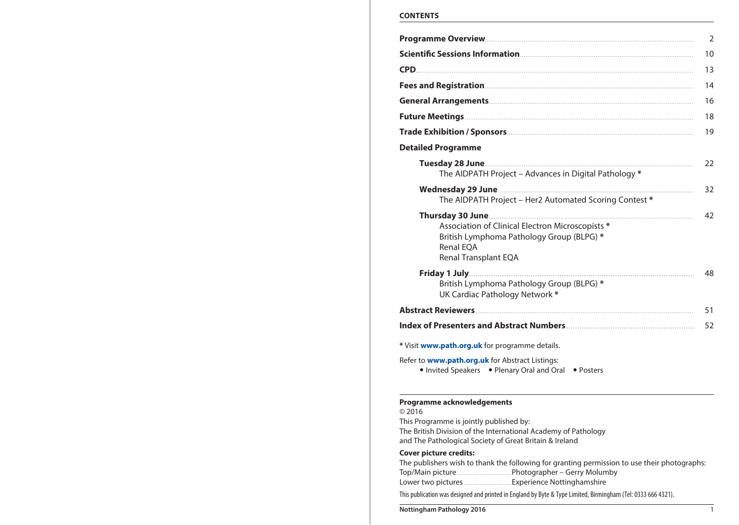# **CONTENTS**

|                                                                                                                                    | 2  |
|------------------------------------------------------------------------------------------------------------------------------------|----|
|                                                                                                                                    | 10 |
|                                                                                                                                    | 13 |
|                                                                                                                                    | 14 |
|                                                                                                                                    | 16 |
|                                                                                                                                    | 18 |
|                                                                                                                                    | 19 |
| <b>Detailed Programme</b>                                                                                                          |    |
| The AIDPATH Project - Advances in Digital Pathology *                                                                              | 22 |
| The AIDPATH Project - Her2 Automated Scoring Contest *                                                                             | 32 |
| Association of Clinical Electron Microscopists *<br>British Lymphoma Pathology Group (BLPG) *<br>Renal EOA<br>Renal Transplant EQA | 42 |
| British Lymphoma Pathology Group (BLPG) *<br>UK Cardiac Pathology Network *                                                        | 48 |
|                                                                                                                                    | 51 |
|                                                                                                                                    | 52 |
| * Visit www.path.org.uk for programme details.                                                                                     |    |
| Refer to <b>www.path.org.uk</b> for Abstract Listings:<br>• Invited Speakers • Plenary Oral and Oral • Posters                     |    |
| Programme acknowledgements<br>@7016<br>This Programme is jointly published by:                                                     |    |

The British Division of the International Academy of Pathology

and The Pathological Society of Great Britain & Ireland

# **Cover picture credits:**

| The publishers wish to thank the following for granting permission to use their photographs:                  |
|---------------------------------------------------------------------------------------------------------------|
|                                                                                                               |
|                                                                                                               |
| This publication was designed and printed in England by Byte & Type Limited, Birmingham (Tel: 0333 666 4321). |

**Nottingham Pathology 2016** 1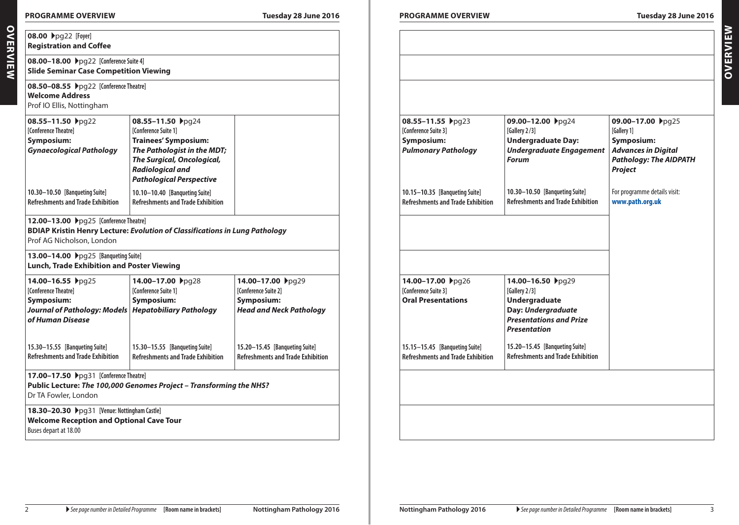**Overview**

OVERVIEW

| 08.00 ▶pg22 [Foyer]<br><b>Registration and Coffee</b>                                                                                                                                                                                                   |                                                                                                                                                                                                                    |                                                                                            |
|---------------------------------------------------------------------------------------------------------------------------------------------------------------------------------------------------------------------------------------------------------|--------------------------------------------------------------------------------------------------------------------------------------------------------------------------------------------------------------------|--------------------------------------------------------------------------------------------|
| 08.00-18.00 ▶pg22 [Conference Suite 4]<br><b>Slide Seminar Case Competition Viewing</b>                                                                                                                                                                 |                                                                                                                                                                                                                    |                                                                                            |
| 08.50-08.55 ▶pg22 [Conference Theatre]<br><b>Welcome Address</b><br>Prof IO Ellis, Nottingham                                                                                                                                                           |                                                                                                                                                                                                                    |                                                                                            |
| 08.55-11.50 pg22<br>[Conference Theatre]<br>Symposium:<br><b>Gynaecological Pathology</b>                                                                                                                                                               | 08.55-11.50 → pg24<br><b>[Conference Suite 1]</b><br><b>Trainees' Symposium:</b><br>The Pathologist in the MDT;<br><b>The Surgical, Oncological,</b><br><b>Radiological and</b><br><b>Pathological Perspective</b> |                                                                                            |
| 10.30-10.50 [Banqueting Suite]<br><b>Refreshments and Trade Exhibition</b>                                                                                                                                                                              | 10.10-10.40 [Banqueting Suite]<br><b>Refreshments and Trade Exhibition</b>                                                                                                                                         |                                                                                            |
| 12.00-13.00 >pg25 [Conference Theatre]<br><b>BDIAP Kristin Henry Lecture: Evolution of Classifications in Lung Pathology</b><br>Prof AG Nicholson, London<br>13.00-14.00 > pg25 [Banqueting Suite]<br><b>Lunch, Trade Exhibition and Poster Viewing</b> |                                                                                                                                                                                                                    |                                                                                            |
| 14.00-16.55 ▶pg25<br>[Conference Theatre]<br>Symposium:<br><b>Journal of Pathology: Models</b><br>of Human Disease                                                                                                                                      | 14.00-17.00 ▶pg28<br>[Conference Suite 1]<br><b>Symposium:</b><br><b>Hepatobiliary Pathology</b>                                                                                                                   | 14.00-17.00 → pg29<br>[Conference Suite 2]<br>Symposium:<br><b>Head and Neck Pathology</b> |
| 15.30-15.55 [Banqueting Suite]<br><b>Refreshments and Trade Exhibition</b>                                                                                                                                                                              | 15.30-15.55 [Banqueting Suite]<br><b>Refreshments and Trade Exhibition</b>                                                                                                                                         | 15.20-15.45 [Banqueting Suite]<br><b>Refreshments and Trade Exhibition</b>                 |
| <b>17.00–17.50</b> ▶pg31 [Conference Theatre]<br>Public Lecture: The 100,000 Genomes Project - Transforming the NHS?<br>Dr TA Fowler, London                                                                                                            |                                                                                                                                                                                                                    |                                                                                            |
| 18.30-20.30 >pg31 [Venue: Nottingham Castle]<br><b>Welcome Reception and Optional Cave Tour</b><br>Buses depart at 18.00                                                                                                                                |                                                                                                                                                                                                                    |                                                                                            |

| 08.55-11.55 pg23<br>[Conference Suite 3]<br>Symposium:<br><b>Pulmonary Pathology</b> | 09.00-12.00 → pg24<br>[Gallery 2/3]<br><b>Undergraduate Day:</b><br><b>Undergraduate Engagement</b><br><b>Forum</b> | 09.00-17.00 → pg25<br>[Gallery 1]<br>Symposium:<br><b>Advances in Digital</b><br><b>Pathology: The AIDPATH</b><br>Project |
|--------------------------------------------------------------------------------------|---------------------------------------------------------------------------------------------------------------------|---------------------------------------------------------------------------------------------------------------------------|
| 10.15-10.35 [Banqueting Suite]<br><b>Refreshments and Trade Exhibition</b>           | 10.30-10.50 [Banqueting Suite]<br><b>Refreshments and Trade Exhibition</b>                                          | For programme details visit:<br>www.path.org.uk                                                                           |
| 14.00-17.00 ▶pg26<br>[Conference Suite 3]<br><b>Oral Presentations</b>               | 14.00-16.50 → pg29<br>[Gallery 2/3]<br><b>Undergraduate</b><br>Day: Undergraduate<br><b>Presentations and Prize</b> |                                                                                                                           |
| 15.15-15.45 [Banqueting Suite]                                                       | <b>Presentation</b><br>15.20-15.45 [Banqueting Suite]<br><b>Refreshments and Trade Exhibition</b>                   |                                                                                                                           |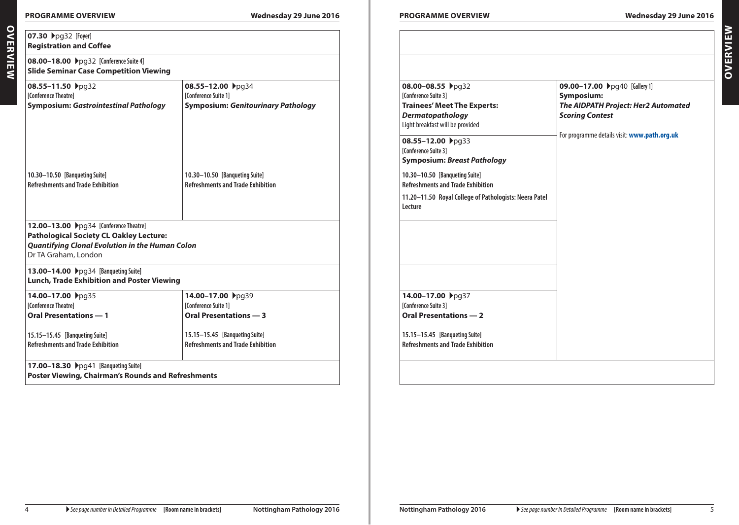# **Programme Overview Wednesday 29 June 2016 Programme Overview Wednesday 29 June 2016**

| <b>Registration and Coffee</b><br>08.00-18.00 ▶pg32 [Conference Suite 4]<br><b>Slide Seminar Case Competition Viewing</b>                                                  |                                                                                         |                                                                                                                                                                                           |                                                                                                                                                              |
|----------------------------------------------------------------------------------------------------------------------------------------------------------------------------|-----------------------------------------------------------------------------------------|-------------------------------------------------------------------------------------------------------------------------------------------------------------------------------------------|--------------------------------------------------------------------------------------------------------------------------------------------------------------|
| 08.55-11.50 → pg32<br>[Conference Theatre]<br><b>Symposium: Gastrointestinal Pathology</b>                                                                                 | 08.55-12.00 → pg34<br>[Conference Suite 1]<br><b>Symposium: Genitourinary Pathology</b> | 08.00-08.55 pg32<br>[Conference Suite 3]<br><b>Trainees' Meet The Experts:</b><br>Dermatopathology<br>Light breakfast will be provided<br>08.55-12.00 pg33<br><b>[Conference Suite 3]</b> | 09.00-17.00 Ppg40 [Gallery 1]<br>Symposium:<br>The AIDPATH Project: Her2 Automated<br><b>Scoring Contest</b><br>For programme details visit: www.path.org.uk |
| 10.30-10.50 [Banqueting Suite]<br><b>Refreshments and Trade Exhibition</b>                                                                                                 | 10.30-10.50 [Banqueting Suite]<br><b>Refreshments and Trade Exhibition</b>              | <b>Symposium: Breast Pathology</b><br>10.30-10.50 [Banqueting Suite]<br><b>Refreshments and Trade Exhibition</b><br>11.20-11.50 Royal College of Pathologists: Neera Patel<br>Lecture     |                                                                                                                                                              |
| 12.00-13.00 Ppg34 [Conference Theatre]<br><b>Pathological Society CL Oakley Lecture:</b><br><b>Quantifying Clonal Evolution in the Human Colon</b><br>Dr TA Graham, London |                                                                                         |                                                                                                                                                                                           |                                                                                                                                                              |
| 13.00-14.00 >pg34 [Banqueting Suite]<br><b>Lunch, Trade Exhibition and Poster Viewing</b>                                                                                  |                                                                                         |                                                                                                                                                                                           |                                                                                                                                                              |
| 14.00-17.00 ▶pg35<br>[Conference Theatre]<br><b>Oral Presentations - 1</b>                                                                                                 | 14.00-17.00 → pg39<br><b>[Conference Suite 1]</b><br><b>Oral Presentations - 3</b>      | 14.00-17.00 ▶pg37<br>[Conference Suite 3]<br><b>Oral Presentations - 2</b>                                                                                                                |                                                                                                                                                              |
| 15.15-15.45 [Banqueting Suite]<br><b>Refreshments and Trade Exhibition</b>                                                                                                 | 15.15-15.45 [Banqueting Suite]<br><b>Refreshments and Trade Exhibition</b>              | 15.15-15.45 [Banqueting Suite]<br><b>Refreshments and Trade Exhibition</b>                                                                                                                |                                                                                                                                                              |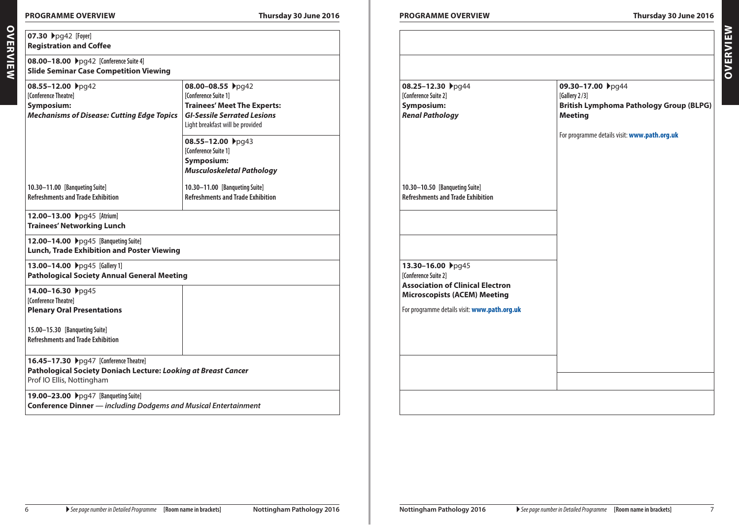# **Programme Overview Thursday 30 June 2016 Programme Overview Thursday 30 June 2016**

**Overview**

OVERVIEW

| 08.00-18.00 ▶pg42 [Conference Suite 4]<br><b>Slide Seminar Case Competition Viewing</b>                                                      |                                                                                                                                                           |  |
|----------------------------------------------------------------------------------------------------------------------------------------------|-----------------------------------------------------------------------------------------------------------------------------------------------------------|--|
| 08.55-12.00 → pg42<br>[Conference Theatre]<br>Symposium:<br><b>Mechanisms of Disease: Cutting Edge Topics</b>                                | 08.00-08.55 ▶pg42<br>[Conference Suite 1]<br><b>Trainees' Meet The Experts:</b><br><b>GI-Sessile Serrated Lesions</b><br>Light breakfast will be provided |  |
|                                                                                                                                              | 08.55-12.00 → pg43<br><b>[Conference Suite 1]</b><br>Symposium:<br><b>Musculoskeletal Pathology</b>                                                       |  |
| 10.30-11.00 [Banqueting Suite]<br><b>Refreshments and Trade Exhibition</b>                                                                   | 10.30-11.00 [Banqueting Suite]<br><b>Refreshments and Trade Exhibition</b>                                                                                |  |
| 12.00-13.00 >pg45 [Atrium]<br><b>Trainees' Networking Lunch</b>                                                                              |                                                                                                                                                           |  |
| 12.00-14.00 >pg45 [Banqueting Suite]<br><b>Lunch, Trade Exhibition and Poster Viewing</b>                                                    |                                                                                                                                                           |  |
| 13.00-14.00 >pg45 [Gallery 1]<br><b>Pathological Society Annual General Meeting</b>                                                          |                                                                                                                                                           |  |
| 14.00-16.30 ▶pg45<br>[Conference Theatre]<br><b>Plenary Oral Presentations</b>                                                               |                                                                                                                                                           |  |
| 15.00-15.30 [Banqueting Suite]<br><b>Refreshments and Trade Exhibition</b>                                                                   |                                                                                                                                                           |  |
| <b>16.45-17.30</b> ▶pg47 [Conference Theatre]<br>Pathological Society Doniach Lecture: Looking at Breast Cancer<br>Prof IO Ellis, Nottingham |                                                                                                                                                           |  |

| 08.25-12.30 → pg44                                                                                                          | 09.30-17.00 ▶pg44                              |
|-----------------------------------------------------------------------------------------------------------------------------|------------------------------------------------|
| [Conference Suite 2]                                                                                                        | [Gallery 2/3]                                  |
| Symposium:                                                                                                                  | <b>British Lymphoma Pathology Group (BLPG)</b> |
| <b>Renal Pathology</b>                                                                                                      | <b>Meeting</b>                                 |
|                                                                                                                             | For programme details visit: www.path.org.uk   |
| 10.30-10.50 [Banqueting Suite]<br><b>Refreshments and Trade Exhibition</b>                                                  |                                                |
|                                                                                                                             |                                                |
|                                                                                                                             |                                                |
| 13.30-16.00 ▶pg45<br>[Conference Suite 2]<br><b>Association of Clinical Electron</b><br><b>Microscopists (ACEM) Meeting</b> |                                                |
| For programme details visit: www.path.org.uk                                                                                |                                                |
|                                                                                                                             |                                                |
|                                                                                                                             |                                                |
|                                                                                                                             |                                                |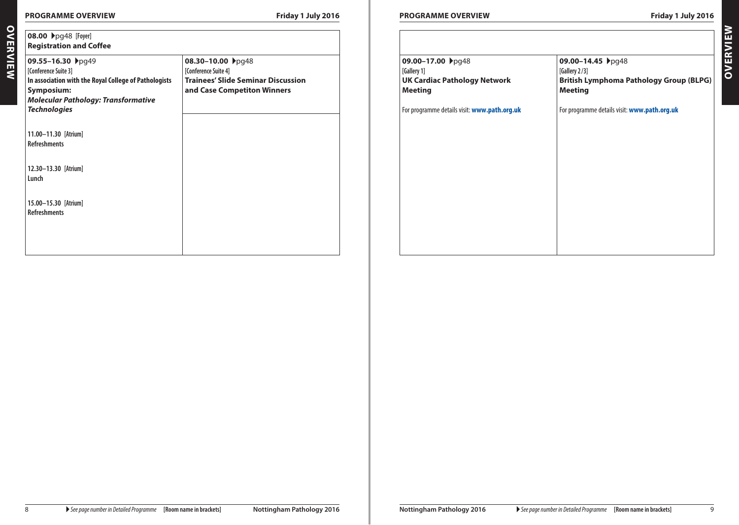# **Programme Overview Friday 1 July 2016 Programme Overview Friday 1 July 2016**

**09.00-14.45 ▶**pg48

**British Lymphoma Pathology Group (BLPG)** 

For programme details visit: **[www.path.org.uk](http://www.path.org.uk)**

**[Gallery 2 /3]**

**Meeting**

| 08.30-10.00 → pg48<br>[Conference Suite 4] | 09.00-17.00 <b>▶</b> pg48                    |
|--------------------------------------------|----------------------------------------------|
|                                            | [Gallery 1]                                  |
| <b>Trainees' Slide Seminar Discussion</b>  | <b>UK Cardiac Pathology Network</b>          |
|                                            | <b>Meeting</b>                               |
|                                            | For programme details visit: www.path.org.uk |
|                                            |                                              |
|                                            |                                              |
|                                            |                                              |
|                                            |                                              |
|                                            |                                              |
|                                            |                                              |
|                                            |                                              |
|                                            |                                              |
|                                            | and Case Competiton Winners                  |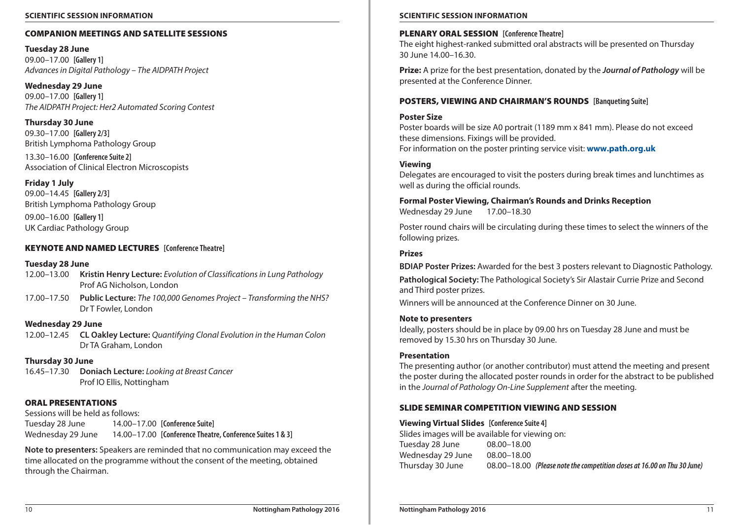### **Scientific Session Information Scientific Session Information**

### COMPANION MEETINGS and SATELLITE SESSIONS

**Tuesday 28 June** 09.00–17.00 **[Gallery 1]** *Advances in Digital Pathology – The AIDPATH Project*

**Wednesday 29 June** 09.00–17.00 **[Gallery 1]** *The AIDPATH Project: Her2 Automated Scoring Contest*

**Thursday 30 June** 09.30–17.00 **[Gallery 2/3]** British Lymphoma Pathology Group

13.30–16.00 **[Conference Suite 2]** Association of Clinical Electron Microscopists

**Friday 1 July** 09.00–14.45 **[Gallery 2/3]** British Lymphoma Pathology Group

09.00–16.00 **[Gallery 1]** UK Cardiac Pathology Group

# KEYNOTE AND NAMED LECTURES **[Conference Theatre]**

### **Tuesday 28 June**

- 12.00–13.00 **Kristin Henry Lecture:** *Evolution of Classifications in Lung Pathology* Prof AG Nicholson, London
- 17.00–17.50 **Public Lecture:** *The 100,000 Genomes Project Transforming the NHS?* Dr T Fowler, London

# **Wednesday 29 June**

12.00–12.45 **CL Oakley Lecture:** *Quantifying Clonal Evolution in the Human Colon* Dr TA Graham, London

### **Thursday 30 June**

16.45–17.30 **Doniach Lecture:** *Looking at Breast Cancer* Prof IO Ellis, Nottingham

# ORAL PRESENTATIONS

Sessions will be held as follows: Tuesday 28 June 14.00–17.00 **[Conference Suite]** Wednesday 29 June 14.00–17.00 **[Conference Theatre, Conference Suites 1 & 3]**

**Note to presenters:** Speakers are reminded that no communication may exceed the time allocated on the programme without the consent of the meeting, obtained through the Chairman.

### PLENARY ORAL SESSION **[Conference Theatre]**

The eight highest-ranked submitted oral abstracts will be presented on Thursday 30 June 14.00–16.30.

**Prize:** A prize for the best presentation, donated by the *Journal of Pathology* will be presented at the Conference Dinner.

# POSTERS, VIEWING and CHAIRMAN'S ROUNDS **[Banqueting Suite]**

### **Poster Size**

Poster boards will be size A0 portrait (1189 mm x 841 mm). Please do not exceed these dimensions. Fixings will be provided. For information on the poster printing service visit: **[www.path.org.uk](http://www.path.org.uk)**

# **Viewing**

Delegates are encouraged to visit the posters during break times and lunchtimes as well as during the official rounds.

**Formal Poster Viewing, Chairman's Rounds and Drinks Reception** Wednesday 29 June 17.00–18.30

Poster round chairs will be circulating during these times to select the winners of the following prizes.

### **Prizes**

**BDIAP Poster Prizes:** Awarded for the best 3 posters relevant to Diagnostic Pathology.

**Pathological Society:** The Pathological Society's Sir Alastair Currie Prize and Second and Third poster prizes.

Winners will be announced at the Conference Dinner on 30 June.

### **Note to presenters**

Ideally, posters should be in place by 09.00 hrs on Tuesday 28 June and must be removed by 15.30 hrs on Thursday 30 June.

# **Presentation**

The presenting author (or another contributor) must attend the meeting and present the poster during the allocated poster rounds in order for the abstract to be published in the *Journal of Pathology On-Line Supplement* after the meeting.

# SLIDE SEMINAR COMPETITION VIEWING and SESSION

#### **Viewing Virtual Slides [Conference Suite 4]**

Slides images will be available for viewing on: Tuesday 28 June 08.00–18.00 Wednesday 29 June 08.00–18.00 Thursday 30 June 08.00–18.00 *(Please note the competition closes at 16.00 on Thu 30 June)*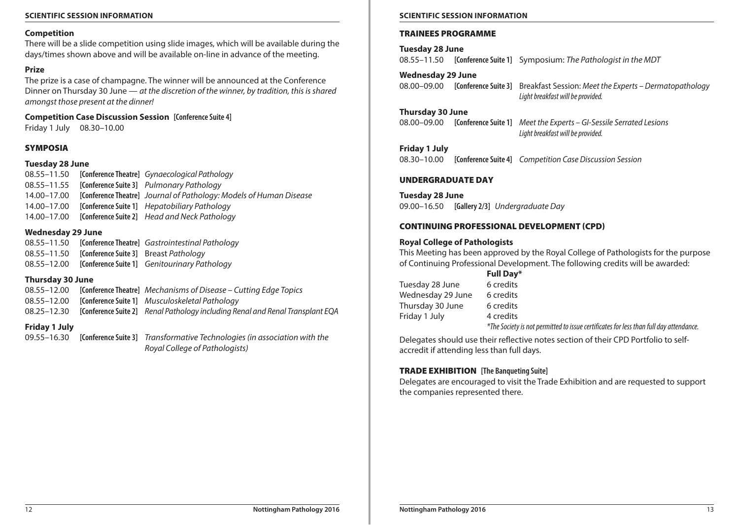# **Scientific Session Information Scientific Session Information**

#### **Competition**

There will be a slide competition using slide images, which will be available during the days/times shown above and will be available on-line in advance of the meeting.

# **Prize**

The prize is a case of champagne. The winner will be announced at the Conference Dinner on Thursday 30 June — *at the discretion of the winner, by tradition, this is shared amongst those present at the dinner!*

**Competition Case Discussion Session [Conference Suite 4]** Friday 1 July 08.30–10.00

# SYMPOSIA

#### **Tuesday 28 June**

08.55–11.50 **[Conference Theatre]** *Gynaecological Pathology* 08.55–11.55 **[Conference Suite 3]** *Pulmonary Pathology* 14.00–17.00 **[Conference Theatre]** *Journal of Pathology: Models of Human Disease* 14.00–17.00 **[Conference Suite 1]** *Hepatobiliary Pathology* 14.00–17.00 **[Conference Suite 2]** *Head and Neck Pathology*

### **Wednesday 29 June**

| 08.55-11.50 |                                                          | [Conference Theatre] Gastrointestinal Pathology |
|-------------|----------------------------------------------------------|-------------------------------------------------|
|             | 08.55–11.50 <b>[Conference Suite 3]</b> Breast Patholoav |                                                 |
| 08.55-12.00 |                                                          | [Conference Suite 1] Genitourinary Pathology    |

### **Thursday 30 June**

08.55–12.00 **[Conference Theatre]** *Mechanisms of Disease – Cutting Edge Topics* 08.55–12.00 **[Conference Suite 1]** *Musculoskeletal Pathology* 08.25–12.30 **[Conference Suite 2]** *Renal Pathology including Renal and Renal Transplant EQA*

# **Friday 1 July**

09.55–16.30 **[Conference Suite 3]** *Transformative Technologies (in association with the Royal College of Pathologists)*

#### TRAINEES PROGRAMME

**Tuesday 28 June** 08.55–11.50 **[Conference Suite 1]** Symposium: *The Pathologist in the MDT*

**Wednesday 29 June**

08.00–09.00 **[Conference Suite 3]** Breakfast Session: *Meet the Experts – Dermatopathology Light breakfast will be provided.*

### **Thursday 30 June**

08.00–09.00 **[Conference Suite 1]** *Meet the Experts – GI-Sessile Serrated Lesions Light breakfast will be provided.*

#### **Friday 1 July**

08.30–10.00 **[Conference Suite 4]** *Competition Case Discussion Session*

### UndergradUate DAY

**Tuesday 28 June** 09.00–16.50 **[Gallery 2/3]** *Undergraduate Day*

#### CONTINUING PROFESSIONAL DEVELOPMENT (CPD)

### **Royal College of Pathologists**

This Meeting has been approved by the Royal College of Pathologists for the purpose of Continuing Professional Development. The following credits will be awarded:

|                   | Full Day*                                                                              |
|-------------------|----------------------------------------------------------------------------------------|
| Tuesday 28 June   | 6 credits                                                                              |
| Wednesday 29 June | 6 credits                                                                              |
| Thursday 30 June  | 6 credits                                                                              |
| Friday 1 July     | 4 credits                                                                              |
|                   | *The Society is not permitted to issue certificates for less than full day attendance. |

Delegates should use their reflective notes section of their CPD Portfolio to selfaccredit if attending less than full days.

### TRADE EXHIBITION **[The Banqueting Suite]**

Delegates are encouraged to visit the Trade Exhibition and are requested to support the companies represented there.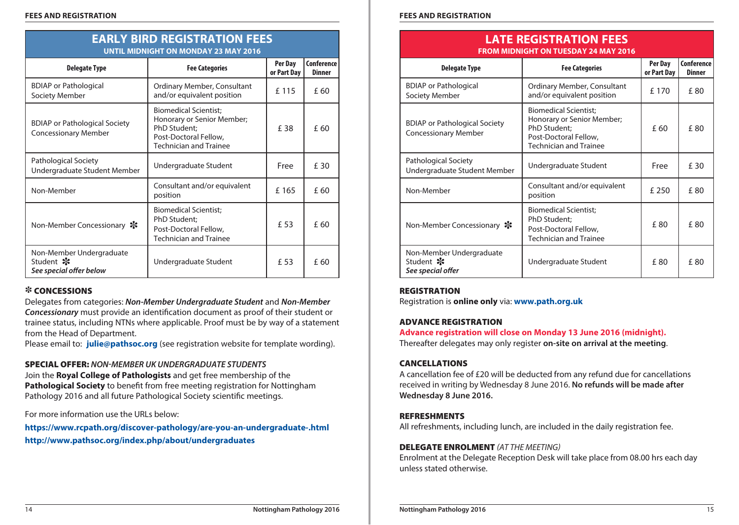| E MIPINISHI VIVINDINDIN EY MINI EVIV                                |                                                                                                                                      |                        |                             |  |
|---------------------------------------------------------------------|--------------------------------------------------------------------------------------------------------------------------------------|------------------------|-----------------------------|--|
| <b>Delegate Type</b>                                                | <b>Fee Categories</b>                                                                                                                | Per Day<br>or Part Day | Conference<br><b>Dinner</b> |  |
| <b>BDIAP</b> or Pathological<br>Society Member                      | Ordinary Member, Consultant<br>and/or equivalent position                                                                            | £115                   | £ 60                        |  |
| <b>BDIAP or Pathological Society</b><br><b>Concessionary Member</b> | <b>Biomedical Scientist;</b><br>Honorary or Senior Member;<br>PhD Student;<br>Post-Doctoral Fellow,<br><b>Technician and Trainee</b> | £ 38                   | £ 60                        |  |
| Pathological Society<br>Undergraduate Student Member                | Undergraduate Student                                                                                                                | Free                   | £ 30                        |  |
| Non-Member                                                          | Consultant and/or equivalent<br>position                                                                                             | £165                   | £ 60                        |  |
| Non-Member Concessionary $\ast$                                     | <b>Biomedical Scientist;</b><br>PhD Student;<br>Post-Doctoral Fellow,<br>Technician and Trainee                                      | £ 53                   | £ 60                        |  |
| Non-Member Undergraduate<br>Student *<br>See special offer below    | Undergraduate Student                                                                                                                | £ 53                   | £ 60                        |  |

# **EARLY BIRD REGISTRATION FEES Until Midnight on Monday 23 May 2016**

# *\** CONCESSIONS

Delegates from categories: *Non-Member Undergraduate Student* and *Non-Member Concessionary* must provide an identification document as proof of their student or trainee status, including NTNs where applicable. Proof must be by way of a statement from the Head of Department.

Please email to: **[julie@pathsoc.org](mailto:julie%40pathsoc.org?subject=Nottingham%20Pathology%202016%20-%20Concessions)** (see registration website for template wording).

# Special OfFER: *Non-Member UK Undergraduate Students*

Join the **Royal College of Pathologists** and get free membership of the **Pathological Society** to benefit from free meeting registration for Nottingham Pathology 2016 and all future Pathological Society scientific meetings.

For more information use the URLs below:

**<https://www.rcpath.org/discover-pathology/are-you-an-undergraduate-.html> <http://www.pathsoc.org/index.php/about/undergraduates>**

# **LATE REGISTRATION FEES From Midnight on TUESDAY 24 MAY 2016**

| <b>Delegate Type</b>                                                | <b>Fee Categories</b>                                                                                                                | Per Day<br>or Part Day | Conference<br><b>Dinner</b> |
|---------------------------------------------------------------------|--------------------------------------------------------------------------------------------------------------------------------------|------------------------|-----------------------------|
| <b>BDIAP</b> or Pathological<br>Society Member                      | Ordinary Member, Consultant<br>and/or equivalent position                                                                            | £ 170                  | £ 80                        |
| <b>BDIAP or Pathological Society</b><br><b>Concessionary Member</b> | <b>Biomedical Scientist;</b><br>Honorary or Senior Member;<br>PhD Student;<br>Post-Doctoral Fellow,<br><b>Technician and Trainee</b> | £ 60                   | £80                         |
| Pathological Society<br>Undergraduate Student Member                | Undergraduate Student                                                                                                                | Free                   | £ 30                        |
| Non-Member                                                          | Consultant and/or equivalent<br>position                                                                                             | £ 250                  | £ 80                        |
| Non-Member Concessionary $\cdot$                                    | <b>Biomedical Scientist;</b><br>PhD Student;<br>Post-Doctoral Fellow,<br><b>Technician and Trainee</b>                               | £80                    | £80                         |
| Non-Member Undergraduate<br>Student <b>※</b><br>See special offer   | Undergraduate Student                                                                                                                | £80                    | £80                         |

# **REGISTRATION**

Registration is **online only** via: **[www.path.org.uk](http://www.path.org.uk)**

# Advance registration

# **Advance registration will close on Monday 13 June 2016 (midnight).**

Thereafter delegates may only register **on-site on arrival at the meeting**.

# **CANCELLATIONS**

A cancellation fee of £20 will be deducted from any refund due for cancellations received in writing by Wednesday 8 June 2016. **No refunds will be made after Wednesday 8 June 2016.**

# **REFRESHMENTS**

All refreshments, including lunch, are included in the daily registration fee.

# DELEGATE ENROLMENT *(AT THE MEETING)*

Enrolment at the Delegate Reception Desk will take place from 08.00 hrs each day unless stated otherwise.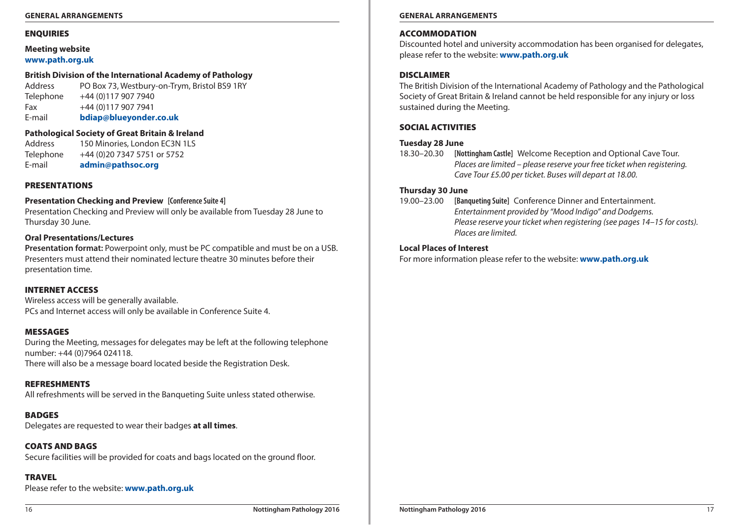#### **General Arrangements General Arrangements**

# **ENQUIRIES**

# **Meeting website [www.path.org.uk](http://www.path.org.uk)**

# **British Division of the International Academy of Pathology**

Address PO Box 73, Westbury-on-Trym, Bristol BS9 1RY Telephone +44 (0)117 907 7940 Fax +44 (0)117 907 7941 E-mail **[bdiap@blueyonder.co.uk](mailto:bdiap%40blueyonder.co.uk?subject=Nottingham%20Pathology%202016)**

# **Pathological Society of Great Britain & Ireland**

Address 150 Minories, London FC3N 1LS Telephone +44 (0)20 7347 5751 or 5752 E-mail **[admin@pathsoc.org](mailto:admin%40pathsoc.org?subject=Nottingham%20Pathology%202016)**

# **PRESENTATIONS**

# **Presentation Checking and Preview [Conference Suite 4]**

Presentation Checking and Preview will only be available from Tuesday 28 June to Thursday 30 June.

# **Oral Presentations/Lectures**

**Presentation format:** Powerpoint only, must be PC compatible and must be on a USB. Presenters must attend their nominated lecture theatre 30 minutes before their presentation time.

# Internet Access

Wireless access will be generally available. PCs and Internet access will only be available in Conference Suite 4.

# Messages

During the Meeting, messages for delegates may be left at the following telephone number: +44 (0)7964 024118. There will also be a message board located beside the Registration Desk.

# Refreshments

All refreshments will be served in the Banqueting Suite unless stated otherwise.

**BADGES** Delegates are requested to wear their badges **at all times**.

Coats and Bags Secure facilities will be provided for coats and bags located on the ground floor.

# **TRAVFL**

Please refer to the website: **[www.path.org.uk](http://www.path.org.uk)**

# **ACCOMMODATION**

Discounted hotel and university accommodation has been organised for delegates, please refer to the website: **[www.path.org.uk](http://www.path.org.uk)**

# **DISCLAIMER**

The British Division of the International Academy of Pathology and the Pathological Society of Great Britain & Ireland cannot be held responsible for any injury or loss sustained during the Meeting.

# SOCIAL ACTIVITIES

# **Tuesday 28 June**

18.30–20.30 **[Nottingham Castle]** Welcome Reception and Optional Cave Tour. *Places are limited – please reserve your free ticket when registering. Cave Tour £5.00 per ticket. Buses will depart at 18.00.*

# **Thursday 30 June**

19.00–23.00 **[Banqueting Suite]** Conference Dinner and Entertainment. *Entertainment provided by "Mood Indigo" and Dodgems. Please reserve your ticket when registering (see pages 14–15 for costs). Places are limited.*

# **Local Places of Interest**

For more information please refer to the website: **[www.path.org.uk](http://www.path.org.uk)**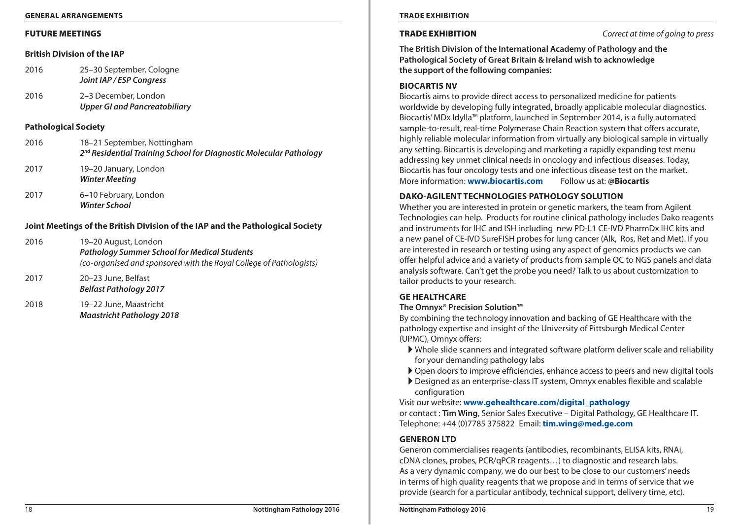#### **General Arrangements Trade Exhibition**

#### FUTURE MEETINGS

#### **British Division of the IAP**

| 2016 | 25–30 September, Cologne |
|------|--------------------------|
|      | Joint IAP / ESP Congress |

2016 2–3 December, London *Upper GI and Pancreatobiliary*

*Winter School*

#### **Pathological Society**

| 2016 | 18-21 September, Nottingham<br>2 <sup>nd</sup> Residential Training School for Diagnostic Molecular Pathology |
|------|---------------------------------------------------------------------------------------------------------------|
| 2017 | 19–20 January, London<br><b>Winter Meeting</b>                                                                |
| 2017 | 6–10 February, London                                                                                         |

### **Joint Meetings of the British Division of the IAP and the Pathological Society**

| 2016 | 19–20 August, London                                                |
|------|---------------------------------------------------------------------|
|      | <b>Pathology Summer School for Medical Students</b>                 |
|      | (co-organised and sponsored with the Royal College of Pathologists) |

2017 20–23 June, Belfast *Belfast Pathology 2017* 

2018 19–22 June, Maastricht *Maastricht Pathology 2018* 

Trade Exhibition *Correct at time of going to press*

**The British Division of the International Academy of Pathology and the Pathological Society of Great Britain & Ireland wish to acknowledge the support of the following companies:** 

### **Biocartis NV**

Biocartis aims to provide direct access to personalized medicine for patients worldwide by developing fully integrated, broadly applicable molecular diagnostics. Biocartis' MDx Idylla™ platform, launched in September 2014, is a fully automated sample-to-result, real-time Polymerase Chain Reaction system that offers accurate, highly reliable molecular information from virtually any biological sample in virtually any setting. Biocartis is developing and marketing a rapidly expanding test menu addressing key unmet clinical needs in oncology and infectious diseases. Today, Biocartis has four oncology tests and one infectious disease test on the market. More information: **[www.biocartis.com](http://www.biocartis.com)** Follow us at: **@Biocartis**

# **Dako-Agilent Technologies Pathology Solution**

Whether you are interested in protein or genetic markers, the team from Agilent Technologies can help. Products for routine clinical pathology includes Dako reagents and instruments for IHC and ISH including new PD-L1 CE-IVD PharmDx IHC kits and a new panel of CE-IVD SureFISH probes for lung cancer (Alk, Ros, Ret and Met). If you are interested in research or testing using any aspect of genomics products we can offer helpful advice and a variety of products from sample QC to NGS panels and data analysis software. Can't get the probe you need? Talk to us about customization to tailor products to your research.

# **GE Healthcare**

# **The Omnyx® Precision Solution™**

By combining the technology innovation and backing of GE Healthcare with the pathology expertise and insight of the University of Pittsburgh Medical Center (UPMC), Omnyx offers:

- $\blacktriangleright$  Whole slide scanners and integrated software platform deliver scale and reliability for your demanding pathology labs
- A Open doors to improve efficiencies, enhance access to peers and new digital tools
- A Designed as an enterprise-class IT system, Omnyx enables flexible and scalable configuration

# Visit our website: **[www.gehealthcare.com/digital\\_pathology](http://www.gehealthcare.com/digital_pathology)**

or contact : **Tim Wing**, Senior Sales Executive – Digital Pathology, GE Healthcare IT. Telephone: +44 (0)7785 375822 Email: **[tim.wing@med.ge.com](mailto:tim.wing%40med.ge.com?subject=Nottingham%20Pathology%202016)**

### **GENERON LTD**

Generon commercialises reagents (antibodies, recombinants, ELISA kits, RNAi, cDNA clones, probes, PCR/qPCR reagents…) to diagnostic and research labs. As a very dynamic company, we do our best to be close to our customers' needs in terms of high quality reagents that we propose and in terms of service that we provide (search for a particular antibody, technical support, delivery time, etc).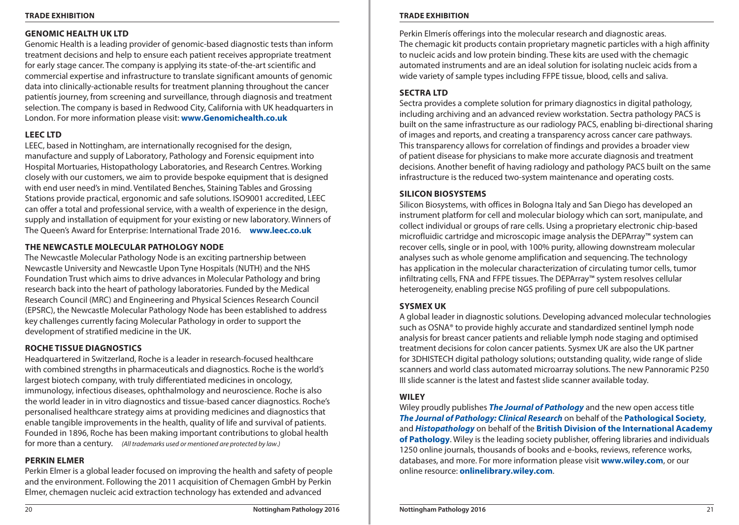#### **Trade Exhibition Trade Exhibition**

# **GENOMIC HEALTH UK LTD**

Genomic Health is a leading provider of genomic-based diagnostic tests than inform treatment decisions and help to ensure each patient receives appropriate treatment for early stage cancer. The company is applying its state-of-the-art scientific and commercial expertise and infrastructure to translate significant amounts of genomic data into clinically-actionable results for treatment planning throughout the cancer patientís journey, from screening and surveillance, through diagnosis and treatment selection. The company is based in Redwood City, California with UK headquarters in London. For more information please visit: **[www.Genomichealth.co.uk](http://www.genomichealth.co.uk)**

# **LEEC LTD**

LEEC, based in Nottingham, are internationally recognised for the design, manufacture and supply of Laboratory, Pathology and Forensic equipment into Hospital Mortuaries, Histopathology Laboratories, and Research Centres. Working closely with our customers, we aim to provide bespoke equipment that is designed with end user need's in mind. Ventilated Benches, Staining Tables and Grossing Stations provide practical, ergonomic and safe solutions. ISO9001 accredited, LEEC can offer a total and professional service, with a wealth of experience in the design, supply and installation of equipment for your existing or new laboratory. Winners of The Queen's Award for Enterprise: International Trade 2016. **[www.leec.co.uk](http://www.leec.co.uk)**

# **The Newcastle Molecular Pathology Node**

The Newcastle Molecular Pathology Node is an exciting partnership between Newcastle University and Newcastle Upon Tyne Hospitals (NUTH) and the NHS Foundation Trust which aims to drive advances in Molecular Pathology and bring research back into the heart of pathology laboratories. Funded by the Medical Research Council (MRC) and Engineering and Physical Sciences Research Council (EPSRC), the Newcastle Molecular Pathology Node has been established to address key challenges currently facing Molecular Pathology in order to support the development of stratified medicine in the UK.

# **ROCHE TISSUE DIAGNOSTICS**

Headquartered in Switzerland, Roche is a leader in research-focused healthcare with combined strengths in pharmaceuticals and diagnostics. Roche is the world's largest biotech company, with truly differentiated medicines in oncology, immunology, infectious diseases, ophthalmology and neuroscience. Roche is also the world leader in in vitro diagnostics and tissue-based cancer diagnostics. Roche's personalised healthcare strategy aims at providing medicines and diagnostics that enable tangible improvements in the health, quality of life and survival of patients. Founded in 1896, Roche has been making important contributions to global health for more than a century. *(All trademarks used or mentioned are protected by law.)*

# **Perkin Elmer**

Perkin Elmer is a global leader focused on improving the health and safety of people and the environment. Following the 2011 acquisition of Chemagen GmbH by Perkin Elmer, chemagen nucleic acid extraction technology has extended and advanced

Perkin Elmerís offerings into the molecular research and diagnostic areas. The chemagic kit products contain proprietary magnetic particles with a high affinity to nucleic acids and low protein binding. These kits are used with the chemagic automated instruments and are an ideal solution for isolating nucleic acids from a wide variety of sample types including FFPE tissue, blood, cells and saliva.

# **SECTRA LTD**

Sectra provides a complete solution for primary diagnostics in digital pathology, including archiving and an advanced review workstation. Sectra pathology PACS is built on the same infrastructure as our radiology PACS, enabling bi-directional sharing of images and reports, and creating a transparency across cancer care pathways. This transparency allows for correlation of findings and provides a broader view of patient disease for physicians to make more accurate diagnosis and treatment decisions. Another benefit of having radiology and pathology PACS built on the same infrastructure is the reduced two-system maintenance and operating costs.

# **SILICON BIOSYSTEMS**

Silicon Biosystems, with offices in Bologna Italy and San Diego has developed an instrument platform for cell and molecular biology which can sort, manipulate, and collect individual or groups of rare cells. Using a proprietary electronic chip-based microfluidic cartridge and microscopic image analysis the DEPArray™ system can recover cells, single or in pool, with 100% purity, allowing downstream molecular analyses such as whole genome amplification and sequencing. The technology has application in the molecular characterization of circulating tumor cells, tumor infiltrating cells, FNA and FFPE tissues. The DEPArray™ system resolves cellular heterogeneity, enabling precise NGS profiling of pure cell subpopulations.

# **Sysmex UK**

A global leader in diagnostic solutions. Developing advanced molecular technologies such as OSNA® to provide highly accurate and standardized sentinel lymph node analysis for breast cancer patients and reliable lymph node staging and optimised treatment decisions for colon cancer patients. Sysmex UK are also the UK partner for 3DHISTECH digital pathology solutions; outstanding quality, wide range of slide scanners and world class automated microarray solutions. The new Pannoramic P250 III slide scanner is the latest and fastest slide scanner available today.

# **WILEY**

Wiley proudly publishes *[The Journal of Pathology](http://onlinelibrary.wiley.com/journal/10.1002/(ISSN)1096-9896)* and the new open access title *[The Journal of Pathology: Clinical Research](http://onlinelibrary.wiley.com/journal/10.1002/(ISSN)2056-4538)* on behalf of the **[Pathological Society](http://www.pathsoc.org/)**, and *[Histopathology](http://onlinelibrary.wiley.com/journal/10.1111/(ISSN)1365-2559)* on behalf of the **[British Division of the International Academy](http://www.bdiap.org/)  [of Pathology](http://www.bdiap.org/)**. Wiley is the leading society publisher, offering libraries and individuals 1250 online journals, thousands of books and e-books, reviews, reference works, databases, and more. For more information please visit **[www.wiley.com](http://www.wiley.com/)**, or our online resource: **[onlinelibrary.wiley.com](http://onlinelibrary.wiley.com/)**.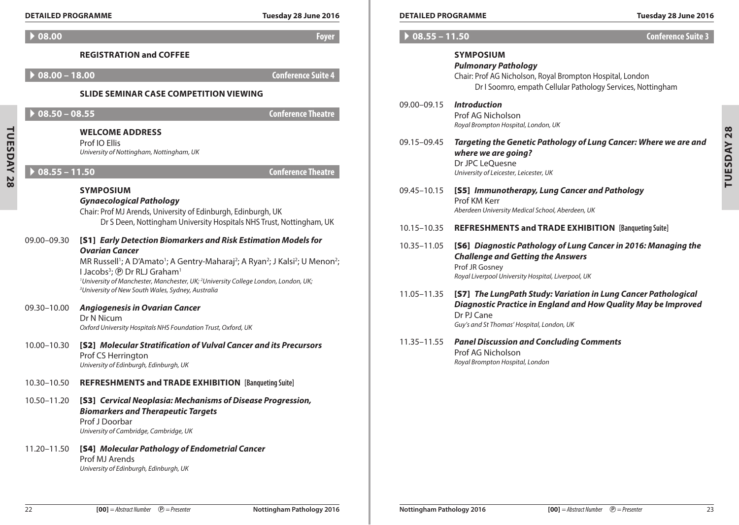|  | <b>DETAILED PROGRAMMI</b> |  |
|--|---------------------------|--|
|  |                           |  |

| Tuesday 28 June 2016 |  |  |  |  |
|----------------------|--|--|--|--|
|----------------------|--|--|--|--|

|                   | <b>DETAILED PROGRAMME</b> |                                                                                                                                                                                                                                                                                                                                                                                                                                                                                          | Tuesday 28 June 2016      | <b>DETAILED PROGRAMME</b>      |                                                                                                                                                                                                                                            | Tuesday 28 June 2016      |
|-------------------|---------------------------|------------------------------------------------------------------------------------------------------------------------------------------------------------------------------------------------------------------------------------------------------------------------------------------------------------------------------------------------------------------------------------------------------------------------------------------------------------------------------------------|---------------------------|--------------------------------|--------------------------------------------------------------------------------------------------------------------------------------------------------------------------------------------------------------------------------------------|---------------------------|
|                   | 08.00                     |                                                                                                                                                                                                                                                                                                                                                                                                                                                                                          | <b>Foyer</b>              | $\triangleright$ 08.55 - 11.50 |                                                                                                                                                                                                                                            | <b>Conference Suite 3</b> |
|                   | $08.00 - 18.00$           | <b>REGISTRATION and COFFEE</b>                                                                                                                                                                                                                                                                                                                                                                                                                                                           | <b>Conference Suite 4</b> |                                | <b>SYMPOSIUM</b><br><b>Pulmonary Pathology</b><br>Chair: Prof AG Nicholson, Royal Brompton Hospital, London                                                                                                                                |                           |
|                   |                           | <b>SLIDE SEMINAR CASE COMPETITION VIEWING</b>                                                                                                                                                                                                                                                                                                                                                                                                                                            |                           |                                | Dr I Soomro, empath Cellular Pathology Services, Nottingham                                                                                                                                                                                |                           |
|                   | $08.50 - 08.55$           | <b>WELCOME ADDRESS</b>                                                                                                                                                                                                                                                                                                                                                                                                                                                                   | <b>Conference Theatre</b> | 09.00-09.15                    | <b>Introduction</b><br>Prof AG Nicholson<br>Royal Brompton Hospital, London, UK                                                                                                                                                            |                           |
| <b>TUESDAY 28</b> | $08.55 - 11.50$           | Prof IO Ellis<br>University of Nottingham, Nottingham, UK                                                                                                                                                                                                                                                                                                                                                                                                                                | <b>Conference Theatre</b> | 09.15-09.45                    | Targeting the Genetic Pathology of Lung Cancer: Where we are and<br>where we are going?<br>Dr JPC LeQuesne<br>University of Leicester, Leicester, UK                                                                                       |                           |
|                   |                           | <b>SYMPOSIUM</b><br><b>Gynaecological Pathology</b><br>Chair: Prof MJ Arends, University of Edinburgh, Edinburgh, UK<br>Dr S Deen, Nottingham University Hospitals NHS Trust, Nottingham, UK                                                                                                                                                                                                                                                                                             |                           | 09.45-10.15                    | [S5] Immunotherapy, Lung Cancer and Pathology<br>Prof KM Kerr<br>Aberdeen University Medical School, Aberdeen, UK                                                                                                                          |                           |
|                   | 09.00-09.30               | [S1] Early Detection Biomarkers and Risk Estimation Models for<br><b>Ovarian Cancer</b><br>MR Russell <sup>1</sup> ; A D'Amato <sup>1</sup> ; A Gentry-Maharaj <sup>2</sup> ; A Ryan <sup>2</sup> ; J Kalsi <sup>2</sup> ; U Menon <sup>2</sup> ;<br>I Jacobs <sup>3</sup> ; ® Dr RLJ Graham <sup>1</sup><br><sup>1</sup> University of Manchester, Manchester, UK; <sup>2</sup> University College London, London, UK;<br><sup>3</sup> University of New South Wales, Sydney, Australia |                           | 10.15-10.35<br>10.35-11.05     | REFRESHMENTS and TRADE EXHIBITION [Banqueting Suite]<br>[S6] Diagnostic Pathology of Lung Cancer in 2016: Managing the<br><b>Challenge and Getting the Answers</b><br>Prof JR Gosney<br>Royal Liverpool University Hospital, Liverpool, UK |                           |
|                   | 09.30-10.00               | <b>Angiogenesis in Ovarian Cancer</b><br>Dr N Nicum<br>Oxford University Hospitals NHS Foundation Trust, Oxford, UK                                                                                                                                                                                                                                                                                                                                                                      |                           | 11.05-11.35                    | [S7] The LungPath Study: Variation in Lung Cancer Pathological<br>Diagnostic Practice in England and How Quality May be Improved<br>Dr PJ Cane<br>Guy's and St Thomas' Hospital, London, UK                                                |                           |
|                   | 10.00-10.30               | [S2] Molecular Stratification of Vulval Cancer and its Precursors<br>Prof CS Herrington<br>University of Edinburgh, Edinburgh, UK                                                                                                                                                                                                                                                                                                                                                        |                           | 11.35 - 11.55                  | <b>Panel Discussion and Concluding Comments</b><br>Prof AG Nicholson<br>Royal Brompton Hospital, London                                                                                                                                    |                           |
|                   | 10.30-10.50               | <b>REFRESHMENTS and TRADE EXHIBITION [Banqueting Suite]</b>                                                                                                                                                                                                                                                                                                                                                                                                                              |                           |                                |                                                                                                                                                                                                                                            |                           |
|                   | 10.50-11.20               | [S3] Cervical Neoplasia: Mechanisms of Disease Progression,<br><b>Biomarkers and Therapeutic Targets</b><br>Prof J Doorbar<br>University of Cambridge, Cambridge, UK                                                                                                                                                                                                                                                                                                                     |                           |                                |                                                                                                                                                                                                                                            |                           |
|                   | 11.20-11.50               | [S4] Molecular Pathology of Endometrial Cancer<br>Prof MJ Arends<br>University of Edinburgh, Edinburgh, UK                                                                                                                                                                                                                                                                                                                                                                               |                           |                                |                                                                                                                                                                                                                                            |                           |

| ٠  |
|----|
| J, |
|    |
|    |
|    |
|    |
|    |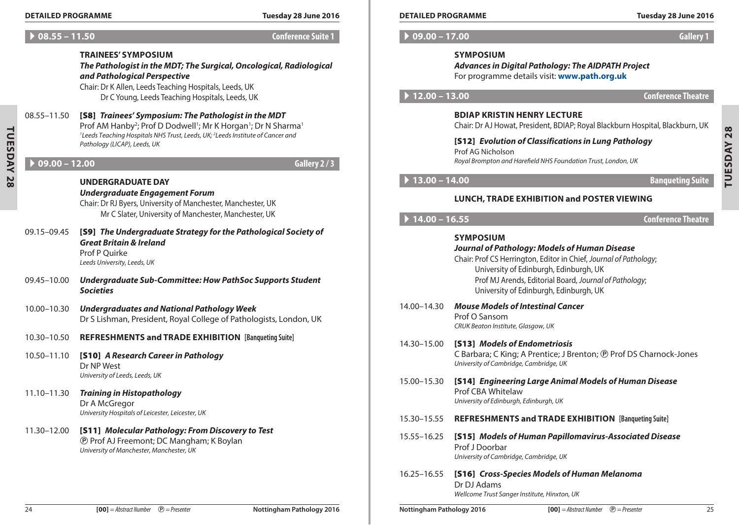#### **Detailed Programme Tuesday 28 June 2016 Detailed Programme Tuesday 28 June 2016**

# A **08.55 – 11.50 Conference Suite 1**

# **TRAINEES' Symposium**

*The Pathologist in the MDT; The Surgical, Oncological, Radiological and Pathological Perspective*

Chair: Dr K Allen, Leeds Teaching Hospitals, Leeds, UK Dr C Young, Leeds Teaching Hospitals, Leeds, UK

# 08.55–11.50 [S8] *Trainees' Symposium: The Pathologist in the MDT* Prof AM Hanby<sup>2</sup>; Prof D Dodwell<sup>1</sup>; Mr K Horgan<sup>1</sup>; Dr N Sharma<sup>1</sup> *1 Leeds Teaching Hospitals NHS Trust, Leeds, UK; 2 Leeds Institute of Cancer and Pathology (LICAP), Leeds, UK*

# A **09.00 – 12.00 Gallery 2 / 3**

**Tuesday 28**

**TUESDAY 28** 

### **UNDERGRADUATE DAY** *Undergraduate Engagement Forum*

Chair: Dr RJ Byers, University of Manchester, Manchester, UK Mr C Slater, University of Manchester, Manchester, UK

- 09.15–09.45 [S9] *The Undergraduate Strategy for the Pathological Society of Great Britain & Ireland* Prof P Quirke *Leeds University, Leeds, UK* 09.45–10.00 *Undergraduate Sub-Committee: How PathSoc Supports Student Societies*
- 10.00–10.30 *Undergraduates and National Pathology Week* Dr S Lishman, President, Royal College of Pathologists, London, UK
- 10.30–10.50 **REFRESHMENTS and Trade Exhibition [Banqueting Suite]**
- 10.50–11.10 [S10] *A Research Career in Pathology* Dr NP West *University of Leeds, Leeds, UK*
- 11.10–11.30 *Training in Histopathology* Dr A McGregor *University Hospitals of Leicester, Leicester, UK*

# 11.30–12.00 [S11] *Molecular Pathology: From Discovery to Test* P Prof AJ Freemont; DC Mangham; K Boylan *University of Manchester, Manchester, UK*

A **09.00 – 17.00 Gallery 1**

# **Symposium**

*Advances in Digital Pathology: The AIDPATH Project* For programme details visit: **[www.path.org.uk](http://www.path.org.uk)**

# A **12.00 – 13.00 Conference Theatre**

# **BDIAP Kristin Henry Lecture**

Chair: Dr AJ Howat, President, BDIAP; Royal Blackburn Hospital, Blackburn, UK

# [S12] *Evolution of Classifications in Lung Pathology* Prof AG Nicholson *Royal Brompton and Harefield NHS Foundation Trust, London, UK*

A **13.00 – 14.00 Banqueting Suite**

TUESDAY 28 **Tuesday 28**

# **Lunch, Trade Exhibition and Poster Viewing**

A **14.00 – 16.55 Conference Theatre**

# **Symposium** *Journal of Pathology: Models of Human Disease* Chair: Prof CS Herrington, Editor in Chief, *Journal of Pathology*; University of Edinburgh, Edinburgh, UK Prof MJ Arends, Editorial Board, *Journal of Pathology*; University of Edinburgh, Edinburgh, UK 14.00–14.30 *Mouse Models of Intestinal Cancer* Prof O Sansom

*CRUK Beaton Institute, Glasgow, UK*

#### 14.30–15.00 [S13] *Models of Endometriosis* C Barbara; C King; A Prentice; J Brenton; ® Prof DS Charnock-Jones *University of Cambridge, Cambridge, UK*

- 15.00–15.30 [S14] *Engineering Large Animal Models of Human Disease* Prof CBA Whitelaw *University of Edinburgh, Edinburgh, UK*
- 15.30–15.55 **REFRESHMENTS and Trade Exhibition [Banqueting Suite]**
- 15.55–16.25 [S15] *Models of Human Papillomavirus-Associated Disease* Prof J Doorbar *University of Cambridge, Cambridge, UK*
- 16.25–16.55 [S16] *Cross-Species Models of Human Melanoma* Dr DJ Adams *Wellcome Trust Sanger Institute, Hinxton, UK*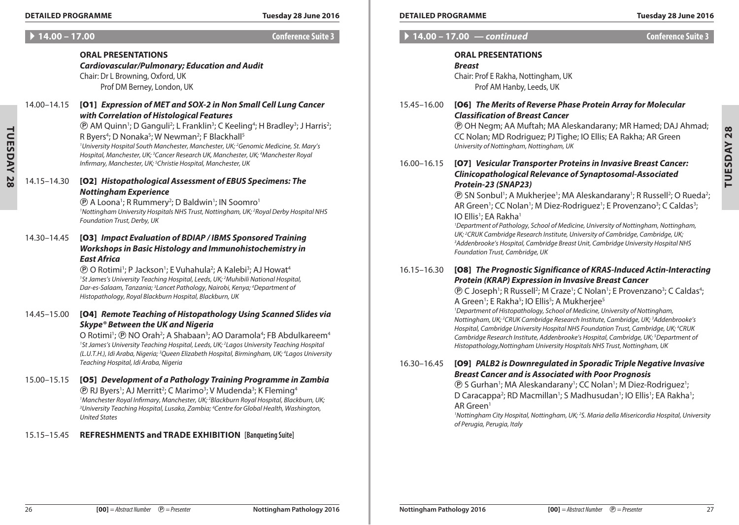**Tuesday 28**

TUESDAY 28

**ORAL PRESENTATIONS**

Chair: Dr L Browning, Oxford, UK

#### **Detailed Programme Tuesday 28 June 2016 Detailed Programme Tuesday 28 June 2016**

### A **14.00 – 17.00 Conference Suite 3**

|  |  | Conference Suite 3 |  |
|--|--|--------------------|--|
|  |  |                    |  |
|  |  |                    |  |

# **ORAL PRESENTATIONS**

### *Breast*

 $\blacktriangleright$  14.00 – 17.00 *— continued* 

Chair: Prof E Rakha, Nottingham, UK Prof AM Hanby, Leeds, UK

# 15.45–16.00 [O6] *The Merits of Reverse Phase Protein Array for Molecular Classification of Breast Cancer*

P OH Negm; AA Muftah; MA Aleskandarany; MR Hamed; DAJ Ahmad; CC Nolan; MD Rodriguez; PJ Tighe; IO Ellis; EA Rakha; AR Green *University of Nottingham, Nottingham, UK*

# 16.00–16.15 [O7] *Vesicular Transporter Proteins in Invasive Breast Cancer: Clinicopathological Relevance of Synaptosomal-Associated Protein-23 (SNAP23)*

**(B)** SN Sonbul<sup>1</sup>; A Mukherjee<sup>1</sup>; MA Aleskandarany<sup>1</sup>; R Russell<sup>2</sup>; O Rueda<sup>2</sup>; AR Green<sup>1</sup>; CC Nolan<sup>1</sup>; M Diez-Rodriguez<sup>1</sup>; E Provenzano<sup>3</sup>; C Caldas<sup>3</sup>; IO Ellis<sup>1</sup>; EA Rakha<sup>1</sup>

*1 Department of Pathology, School of Medicine, University of Nottingham, Nottingham, UK; 2 CRUK Cambridge Research Institute, University of Cambridge, Cambridge, UK; 3 Addenbrooke's Hospital, Cambridge Breast Unit, Cambridge University Hospital NHS Foundation Trust, Cambridge, UK*

# 16.15–16.30 [O8] *The Prognostic Significance of KRAS-Induced Actin-Interacting Protein (KRAP) Expression in Invasive Breast Cancer*

**(B)** C Joseph<sup>1</sup>; R Russell<sup>2</sup>; M Craze<sup>1</sup>; C Nolan<sup>1</sup>; E Provenzano<sup>3</sup>; C Caldas<sup>4</sup>; A Green<sup>1</sup>; E Rakha<sup>5</sup>; IO Ellis<sup>5</sup>; A Mukherjee<sup>5</sup>

*1 Department of Histopathology, School of Medicine, University of Nottingham, Nottingham, UK; 2 CRUK Cambridge Research Institute, Cambridge, UK; 3 Addenbrooke's Hospital, Cambridge University Hospital NHS Foundation Trust, Cambridge, UK; 4 CRUK Cambridge Research Institute, Addenbrooke's Hospital, Cambridge, UK; 5 Department of Histopathology,Nottingham University Hospitals NHS Trust, Nottingham, UK*

# 16.30–16.45 [O9] *PALB2 is Downregulated in Sporadic Triple Negative Invasive Breast Cancer and is Associated with Poor Prognosis*

**(B)** S Gurhan<sup>1</sup>; MA Aleskandarany<sup>1</sup>; CC Nolan<sup>1</sup>; M Diez-Rodriguez<sup>1</sup>; D Caracappa<sup>2</sup>; RD Macmillan<sup>1</sup>; S Madhusudan<sup>1</sup>; IO Ellis<sup>1</sup>; EA Rakha<sup>1</sup>; AR Green1

*1 Nottingham City Hospital, Nottingham, UK; 2 S. Maria della Misericordia Hospital, University of Perugia, Perugia, Italy*

|               | Prof DM Berney, London, UK                                                                                                                                                                                                                                                                                                                                                         |
|---------------|------------------------------------------------------------------------------------------------------------------------------------------------------------------------------------------------------------------------------------------------------------------------------------------------------------------------------------------------------------------------------------|
| 14.00–14.15   | [01] Expression of MET and SOX-2 in Non Small Cell Lung Cancer<br>with Correlation of Histological Features                                                                                                                                                                                                                                                                        |
|               | <b>(D)</b> AM Quinn <sup>1</sup> ; D Ganguli <sup>2</sup> ; L Franklin <sup>3</sup> ; C Keeling <sup>4</sup> ; H Bradley <sup>3</sup> ; J Harris <sup>2</sup> ;<br>R Byers <sup>4</sup> ; D Nonaka <sup>5</sup> ; W Newman <sup>2</sup> ; F Blackhall <sup>5</sup><br><sup>1</sup> University Hospital South Manchester, Manchester, UK; <sup>2</sup> Genomic Medicine, St. Mary's |
|               | Hospital, Manchester, UK; <sup>3</sup> Cancer Research UK, Manchester, UK; <sup>4</sup> Manchester Royal<br>Infirmary, Manchester, UK; <sup>5</sup> Christie Hospital, Manchester, UK                                                                                                                                                                                              |
| 14 15 – 14 30 | [02] Histopathological Assessment of EBUS Specimens: The                                                                                                                                                                                                                                                                                                                           |

*Cardiovascular/Pulmonary; Education and Audit*

# 14.15–14.30 [O2] *Histopathological Assessment of EBUS Specimens: The Nottingham Experience*

**@ A Loona**<sup>1</sup>; R Rummery<sup>2</sup>; D Baldwin<sup>1</sup>; IN Soomro<sup>1</sup> *1 Nottingham University Hospitals NHS Trust, Nottingham, UK; 2 Royal Derby Hospital NHS Foundation Trust, Derby, UK*

# 14.30–14.45 [O3] *Impact Evaluation of BDIAP / IBMS Sponsored Training Workshops in Basic Histology and Immunohistochemistry in East Africa*

**<sup>®</sup> O Rotimi<sup>1</sup>; P Jackson<sup>1</sup>; E Vuhahula<sup>2</sup>; A Kalebi<sup>3</sup>; AJ Howat<sup>4</sup>** *1 St James's University Teaching Hospital, Leeds, UK; 2 Muhibili National Hospital, Dar-es-Salaam, Tanzania; 3 Lancet Pathology, Nairobi, Kenya; 4 Department of Histopathology, Royal Blackburn Hospital, Blackburn, UK*

# 14.45–15.00 [O4] *Remote Teaching of Histopathology Using Scanned Slides via Skype® Between the UK and Nigeria*

O Rotimi1 ; P NO Orah2 ; A Shabaan3 ; AO Daramola4 ; FB Abdulkareem4 *1 St James's University Teaching Hospital, Leeds, UK; 2 Lagos University Teaching Hospital (L.U.T.H.), Idi Araba, Nigeria; 3 Queen Elizabeth Hospital, Birmingham, UK; 4 Lagos University Teaching Hospital, Idi Araba, Nigeria*

#### 15.00–15.15 [O5] *Development of a Pathology Training Programme in Zambia*  $\textcircled{P}$  RJ Byers<sup>1</sup>; AJ Merritt<sup>2</sup>; C Marimo<sup>3</sup>; V Mudenda<sup>3</sup>; K Fleming<sup>4</sup> <sup>1</sup>Manchester Royal Infirmary, Manchester, UK; <sup>2</sup>Blackburn Royal Hospital, Blackburn, UK;<br><sup>3</sup>Llniversity Teaching Hospital, Lusaka, Zambia: <sup>4</sup>Centre for Global Health, Washington *University Teaching Hospital, Lusaka, Zambia; 4 Centre for Global Health, Washington, United States*

# 15.15–15.45 **REFRESHMENTS and Trade Exhibition [Banqueting Suite]**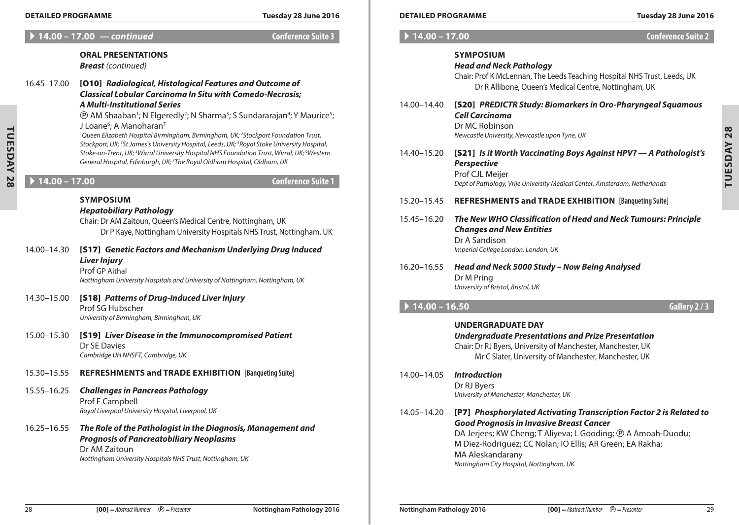| Tuesday 28 June 2016 |  |  |  |
|----------------------|--|--|--|
|                      |  |  |  |

|                | <b>DETAILED PROGRAMME</b> |                                                                                                                                                                                                                                                                                                                                                                                                                                                                                | Tuesday 28 June 2016      |                                     | <b>DETAILED PROGRAMME</b>                                                                                                                                                                                                                    | Tuesday 28 June 201       |  |
|----------------|---------------------------|--------------------------------------------------------------------------------------------------------------------------------------------------------------------------------------------------------------------------------------------------------------------------------------------------------------------------------------------------------------------------------------------------------------------------------------------------------------------------------|---------------------------|-------------------------------------|----------------------------------------------------------------------------------------------------------------------------------------------------------------------------------------------------------------------------------------------|---------------------------|--|
|                |                           | 14.00 - 17.00 <i>- continued</i>                                                                                                                                                                                                                                                                                                                                                                                                                                               | <b>Conference Suite 3</b> | $\blacktriangleright$ 14.00 - 17.00 |                                                                                                                                                                                                                                              | <b>Conference Suite 2</b> |  |
|                | 16.45-17.00               | <b>ORAL PRESENTATIONS</b><br><b>Breast</b> (continued)<br>[010] Radiological, Histological Features and Outcome of<br><b>Classical Lobular Carcinoma In Situ with Comedo-Necrosis;</b>                                                                                                                                                                                                                                                                                         |                           |                                     | <b>SYMPOSIUM</b><br><b>Head and Neck Pathology</b><br>Chair: Prof K McLennan, The Leeds Teaching Hospital NHS Trust, Leeds, UK<br>Dr R Allibone, Queen's Medical Centre, Nottingham, UK                                                      |                           |  |
|                |                           | <b>A Multi-Institutional Series</b><br><b>(B)</b> AM Shaaban <sup>1</sup> ; N Elgeredly <sup>2</sup> ; N Sharma <sup>3</sup> ; S Sundararajan <sup>4</sup> ; Y Maurice <sup>5</sup> ;<br>J Loane <sup>6</sup> ; A Manoharan <sup>7</sup><br><sup>1</sup> Queen Elizabeth Hospital Birmingham, Birmingham, UK; <sup>2</sup> Stockport Foundation Trust,<br>Stockport, UK; <sup>3</sup> St James's University Hospital, Leeds, UK; <sup>4</sup> Royal Stoke University Hospital, |                           | 14.00-14.40                         | [S20] PREDICTR Study: Biomarkers in Oro-Pharyngeal Squamous<br><b>Cell Carcinoma</b><br>Dr MC Robinson<br>Newcastle University, Newcastle upon Tyne, UK                                                                                      |                           |  |
| TUESDAY        |                           | Stoke-on-Trent, UK; <sup>5</sup> Wirral University Hospital NHS Foundation Trust, Wirral, UK; <sup>6</sup> Western<br>General Hospital, Edinburgh, UK; 7The Royal Oldham Hospital, Oldham, UK                                                                                                                                                                                                                                                                                  |                           | 14.40-15.20                         | [S21] Is it Worth Vaccinating Boys Against HPV? - A Pathologist's<br><b>Perspective</b><br>Prof CJL Meijer                                                                                                                                   |                           |  |
| $\overline{8}$ | $14.00 - 17.00$           |                                                                                                                                                                                                                                                                                                                                                                                                                                                                                | <b>Conference Suite 1</b> |                                     | Dept of Pathology, Vrije University Medical Center, Amsterdam, Netherlands                                                                                                                                                                   |                           |  |
|                |                           | <b>SYMPOSIUM</b>                                                                                                                                                                                                                                                                                                                                                                                                                                                               |                           | 15.20–15.45                         | <b>REFRESHMENTS and TRADE EXHIBITION [Banqueting Suite]</b>                                                                                                                                                                                  |                           |  |
|                |                           | <b>Hepatobiliary Pathology</b><br>Chair: Dr AM Zaitoun, Queen's Medical Centre, Nottingham, UK<br>Dr P Kaye, Nottingham University Hospitals NHS Trust, Nottingham, UK                                                                                                                                                                                                                                                                                                         |                           | 15.45-16.20                         | The New WHO Classification of Head and Neck Tumours: Principle<br><b>Changes and New Entities</b><br>Dr A Sandison                                                                                                                           |                           |  |
|                | 14.00-14.30               | [S17] Genetic Factors and Mechanism Underlying Drug Induced<br><b>Liver Injury</b><br>Prof GP Aithal<br>Nottingham University Hospitals and University of Nottingham, Nottingham, UK                                                                                                                                                                                                                                                                                           |                           | 16.20-16.55                         | Imperial College London, London, UK<br>Head and Neck 5000 Study - Now Being Analysed<br>Dr M Pring<br>University of Bristol, Bristol, UK                                                                                                     |                           |  |
|                | 14.30-15.00               | [S18] Patterns of Drug-Induced Liver Injury<br>Prof SG Hubscher<br>University of Birmingham, Birmingham, UK                                                                                                                                                                                                                                                                                                                                                                    |                           | $14.00 - 16.50$                     |                                                                                                                                                                                                                                              | Gallery 2/3               |  |
|                | 15.00-15.30               | [S19] Liver Disease in the Immunocompromised Patient<br>Dr SE Davies<br>Cambridge UH NHSFT, Cambridge, UK                                                                                                                                                                                                                                                                                                                                                                      |                           |                                     | <b>UNDERGRADUATE DAY</b><br><b>Undergraduate Presentations and Prize Presentation</b><br>Chair: Dr RJ Byers, University of Manchester, Manchester, UK<br>Mr C Slater, University of Manchester, Manchester, UK                               |                           |  |
|                | 15.30-15.55               | REFRESHMENTS and TRADE EXHIBITION [Banqueting Suite]                                                                                                                                                                                                                                                                                                                                                                                                                           |                           | 14.00-14.05                         | <b>Introduction</b>                                                                                                                                                                                                                          |                           |  |
|                | 15.55-16.25               | <b>Challenges in Pancreas Pathology</b><br>Prof F Campbell<br>Royal Liverpool University Hospital, Liverpool, UK                                                                                                                                                                                                                                                                                                                                                               |                           |                                     | Dr RJ Byers<br>University of Manchester, Manchester, UK<br>14.05-14.20 [P7] Phosphorylated Activating Transcription Factor 2 is Related to                                                                                                   |                           |  |
|                | $16.25 - 16.55$           | The Role of the Pathologist in the Diagnosis, Management and<br><b>Prognosis of Pancreatobiliary Neoplasms</b><br>Dr AM Zaitoun<br>Nottingham University Hospitals NHS Trust, Nottingham, UK                                                                                                                                                                                                                                                                                   |                           |                                     | <b>Good Prognosis in Invasive Breast Cancer</b><br>DA Jerjees; KW Cheng; T Aliyeva; L Gooding; ® A Amoah-Duodu;<br>M Diez-Rodriguez; CC Nolan; IO Ellis; AR Green; EA Rakha;<br>MA Aleskandarany<br>Nottingham City Hospital, Nottingham, UK |                           |  |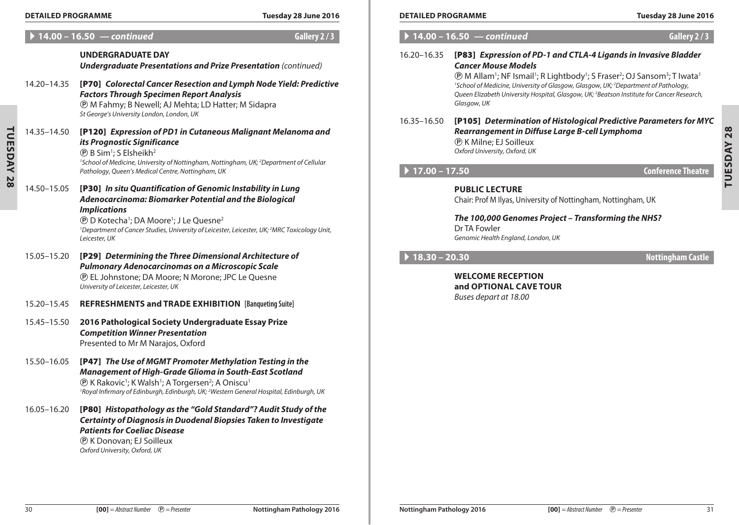**Tuesday 28**

**TUESDAY 28** 

# A **14.00 – 16.50** *— continued* **Gallery 2 / 3**

# **UNDERGRADUATE DAY**

*Undergraduate Presentations and Prize Presentation (continued)*

| 14.20-14.35 [P70] Colorectal Cancer Resection and Lymph Node Yield: Predictive |
|--------------------------------------------------------------------------------|
| <b>Factors Through Specimen Report Analysis</b>                                |
| <b>(B)</b> M Fahmy; B Newell; AJ Mehta; LD Hatter; M Sidapra                   |
| St George's University London, London, UK                                      |

14.35–14.50 [P120] *Expression of PD1 in Cutaneous Malignant Melanoma and its Prognostic Significance*  $\circledR$  B Sim<sup>1</sup>; S Elsheikh<sup>2</sup> <sup>1</sup> School of Medicine, University of Nottingham, Nottingham, UK; <sup>2</sup>Department of Cellular *Pathology, Queen's Medical Centre, Nottingham, UK*

14.50–15.05 [P30] *In situ Quantification of Genomic Instability in Lung Adenocarcinoma: Biomarker Potential and the Biological Implications*

> **(B)** D Kotecha<sup>1</sup>; DA Moore<sup>1</sup>; J Le Quesne<sup>2</sup> <sup>1</sup>Department of Cancer Studies, University of Leicester, Leicester, UK;<sup>2</sup>MRC Toxicology Unit, *Leicester, UK*

- 15.05–15.20 [P29] *Determining the Three Dimensional Architecture of Pulmonary Adenocarcinomas on a Microscopic Scale* P EL Johnstone; DA Moore; N Morone; JPC Le Quesne *University of Leicester, Leicester, UK*
- 15.20–15.45 **REFRESHMENTS and Trade Exhibition [Banqueting Suite]**
- 15.45–15.50 **2016 Pathological Society Undergraduate Essay Prize** *Competition Winner Presentation* Presented to Mr M Narajos, Oxford
- 15.50–16.05 [P47] *The Use of MGMT Promoter Methylation Testing in the Management of High-Grade Glioma in South-East Scotland* **(B)** K Rakovic<sup>1</sup>; K Walsh<sup>1</sup>; A Torgersen<sup>2</sup>; A Oniscu<sup>1</sup> *1 Royal Infirmary of Edinburgh, Edinburgh, UK; 2 Western General Hospital, Edinburgh, UK*

16.05–16.20 [P80] *Histopathology as the "Gold Standard"? Audit Study of the Certainty of Diagnosis in Duodenal Biopsies Taken to Investigate Patients for Coeliac Disease* P K Donovan; EJ Soilleux *Oxford University, Oxford, UK*

### **Detailed Programme Tuesday 28 June 2016 Detailed Programme Tuesday 28 June 2016**

TUESDAY 28 **Tuesday 28**

|                 | $14.00 - 16.50$ - continued                                                                                                                                                                                                                                                                                                                                                                                                                                                                             | Gallery 2/3               |
|-----------------|---------------------------------------------------------------------------------------------------------------------------------------------------------------------------------------------------------------------------------------------------------------------------------------------------------------------------------------------------------------------------------------------------------------------------------------------------------------------------------------------------------|---------------------------|
| 16.20-16.35     | [P83] Expression of PD-1 and CTLA-4 Ligands in Invasive Bladder<br><b>Cancer Mouse Models</b><br><b><i>T</i></b> M Allam <sup>1</sup> ; NF Ismail <sup>1</sup> ; R Lightbody <sup>1</sup> ; S Fraser <sup>2</sup> ; OJ Sansom <sup>3</sup> ; T Iwata <sup>1</sup><br><sup>1</sup> School of Medicine, University of Glasgow, Glasgow, UK; <sup>2</sup> Department of Pathology,<br>Queen Elizabeth University Hospital, Glasgow, UK; <sup>3</sup> Beatson Institute for Cancer Research,<br>Glasgow, UK |                           |
| 16.35 - 16.50   | [P105] Determination of Histological Predictive Parameters for MYC<br>Rearrangement in Diffuse Large B-cell Lymphoma<br><b><i>®</i></b> K Milne; EJ Soilleux<br>Oxford University, Oxford, UK                                                                                                                                                                                                                                                                                                           |                           |
| $17.00 - 17.50$ |                                                                                                                                                                                                                                                                                                                                                                                                                                                                                                         | <b>Conference Theatre</b> |
|                 | <b>PUBLIC LECTURE</b><br>Chair: Prof M Ilyas, University of Nottingham, Nottingham, UK                                                                                                                                                                                                                                                                                                                                                                                                                  |                           |
|                 | The 100,000 Genomes Project - Transforming the NHS?<br>Dr TA Fowler<br>Genomic Health England, London, UK                                                                                                                                                                                                                                                                                                                                                                                               |                           |
| $18.30 - 20.30$ |                                                                                                                                                                                                                                                                                                                                                                                                                                                                                                         | <b>Nottingham Castle</b>  |
|                 | <b>WELCOME RECEPTION</b><br>and OPTIONAL CAVE TOUR<br>Buses depart at 18.00                                                                                                                                                                                                                                                                                                                                                                                                                             |                           |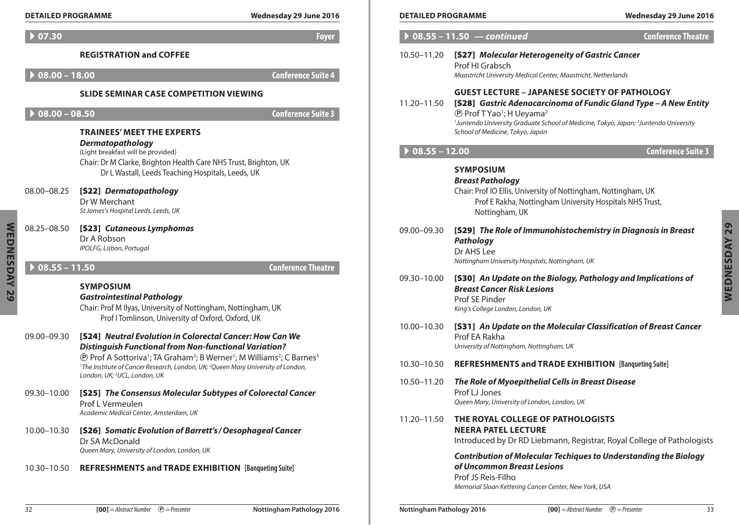|              | <b>DETAILED PROGRAMME</b>   | Wednesday 29 June 2016                                                                                                                                                                                                                                                       | <b>DETAILED PROGRAMME</b> | Wednesday 29 June 2016                                                                                                                                                                                                                                                                                                                          |
|--------------|-----------------------------|------------------------------------------------------------------------------------------------------------------------------------------------------------------------------------------------------------------------------------------------------------------------------|---------------------------|-------------------------------------------------------------------------------------------------------------------------------------------------------------------------------------------------------------------------------------------------------------------------------------------------------------------------------------------------|
|              | $\blacktriangleright$ 07.30 | Foyer                                                                                                                                                                                                                                                                        |                           | $\triangleright$ 08.55 - 11.50 $-$ continued<br><b>Conference Theatre</b>                                                                                                                                                                                                                                                                       |
|              | $08.00 - 18.00$             | <b>REGISTRATION and COFFEE</b><br>Conference Suite 4                                                                                                                                                                                                                         | 10.50-11.20               | [S27] Molecular Heterogeneity of Gastric Cancer<br>Prof HI Grabsch<br>Maastricht University Medical Center, Maastricht, Netherlands                                                                                                                                                                                                             |
|              | $08.00 - 08.50$             | <b>SLIDE SEMINAR CASE COMPETITION VIEWING</b><br><b>Conference Suite 3</b><br><b>TRAINEES' MEET THE EXPERTS</b>                                                                                                                                                              | 11.20–11.50               | <b>GUEST LECTURE - JAPANESE SOCIETY OF PATHOLOGY</b><br>[S28] Gastric Adenocarcinoma of Fundic Gland Type - A New Entity<br><b><i>®</i></b> Prof T Yao <sup>1</sup> ; H Ueyama <sup>2</sup><br><sup>1</sup> Juntendo University Graduate School of Medicine, Tokyo, Japan; <sup>2</sup> Juntendo University<br>School of Medicine, Tokyo, Japan |
|              |                             | <b>Dermatopathology</b><br>(Light breakfast will be provided)                                                                                                                                                                                                                | $08.55 - 12.00$           | <b>Conference Suite 3</b>                                                                                                                                                                                                                                                                                                                       |
|              | 08.00-08.25                 | Chair: Dr M Clarke, Brighton Health Care NHS Trust, Brighton, UK<br>Dr L Wastall, Leeds Teaching Hospitals, Leeds, UK<br>[S22] Dermatopathology<br>Dr W Merchant<br>St James's Hospital Leeds, Leeds, UK                                                                     |                           | <b>SYMPOSIUM</b><br><b>Breast Pathology</b><br>Chair: Prof IO Ellis, University of Nottingham, Nottingham, UK<br>Prof E Rakha, Nottingham University Hospitals NHS Trust,<br>Nottingham, UK                                                                                                                                                     |
| WEDNESDAY 29 | 08.25-08.50                 | [S23] Cutaneous Lymphomas<br>Dr A Robson<br>IPOLFG, Lisbon, Portugal                                                                                                                                                                                                         | 09.00-09.30               | [S29] The Role of Immunohistochemistry in Diagnosis in Breast<br><b>Pathology</b><br>Dr AHS Lee<br>Nottingham University Hospitals, Nottingham, UK                                                                                                                                                                                              |
|              | $\bigcirc$ 08.55 - 11.50    | <b>Conference Theatre</b><br><b>SYMPOSIUM</b><br><b>Gastrointestinal Pathology</b><br>Chair: Prof M Ilyas, University of Nottingham, Nottingham, UK<br>Prof I Tomlinson, University of Oxford, Oxford, UK                                                                    | 09.30-10.00               | [S30] An Update on the Biology, Pathology and Implications of<br><b>Breast Cancer Risk Lesions</b><br>Prof SE Pinder<br>King's College London, London, UK                                                                                                                                                                                       |
|              | 09.00-09.30                 | [S24] Neutral Evolution in Colorectal Cancer: How Can We<br><b>Distinguish Functional from Non-functional Variation?</b><br><b><i>®</i></b> Prof A Sottoriva <sup>1</sup> ; TA Graham <sup>2</sup> ; B Werner <sup>1</sup> ; M Williams <sup>2</sup> ; C Barnes <sup>3</sup> | 10.00-10.30               | [S31] An Update on the Molecular Classification of Breast Cancer<br>Prof EA Rakha<br>University of Nottingham, Nottingham, UK                                                                                                                                                                                                                   |
|              |                             | <sup>1</sup> The Institute of Cancer Research, London, UK; <sup>2</sup> Queen Mary University of London,                                                                                                                                                                     | 10.30-10.50               | <b>REFRESHMENTS and TRADE EXHIBITION [Banqueting Suite]</b>                                                                                                                                                                                                                                                                                     |
|              | 09.30-10.00                 | London, UK; <sup>3</sup> UCL, London, UK<br>[S25] The Consensus Molecular Subtypes of Colorectal Cancer<br>Prof L Vermeulen                                                                                                                                                  | 10.50-11.20               | The Role of Myoepithelial Cells in Breast Disease<br>Prof LJ Jones<br>Queen Mary, University of London, London, UK                                                                                                                                                                                                                              |
|              | 10.00-10.30                 | Academic Medical Center, Amsterdam, UK<br>[S26] Somatic Evolution of Barrett's / Oesophageal Cancer<br>Dr SA McDonald                                                                                                                                                        | 11.20–11.50               | THE ROYAL COLLEGE OF PATHOLOGISTS<br><b>NEERA PATEL LECTURE</b><br>Introduced by Dr RD Liebmann, Registrar, Royal College of Pathologists                                                                                                                                                                                                       |
|              | 10.30-10.50                 | Queen Mary, University of London, London, UK<br><b>REFRESHMENTS and TRADE EXHIBITION [Banqueting Suite]</b>                                                                                                                                                                  |                           | <b>Contribution of Molecular Techiques to Understanding the Biology</b><br>of Uncommon Breast Lesions<br>Prof JS Reis-Filho                                                                                                                                                                                                                     |

| <b>DETAILED PROGRAMME</b> |                                                                                                                                                                                                                                                                                                                                          | Wednesday 29 June 2016    |
|---------------------------|------------------------------------------------------------------------------------------------------------------------------------------------------------------------------------------------------------------------------------------------------------------------------------------------------------------------------------------|---------------------------|
| $08.55 - 11.50 -$         | continued                                                                                                                                                                                                                                                                                                                                | <b>Conference Theatre</b> |
| 10.50-11.20               | [S27] Molecular Heterogeneity of Gastric Cancer<br>Prof HI Grabsch<br>Maastricht University Medical Center, Maastricht, Netherlands                                                                                                                                                                                                      |                           |
| 11.20–11.50               | <b>GUEST LECTURE – JAPANESE SOCIETY OF PATHOLOGY</b><br>[S28] Gastric Adenocarcinoma of Fundic Gland Type - A New Entity<br><b>P</b> Prof T Yao <sup>1</sup> ; H Ueyama <sup>2</sup><br><sup>1</sup> Juntendo University Graduate School of Medicine, Tokyo, Japan; <sup>2</sup> Juntendo University<br>School of Medicine, Tokyo, Japan |                           |
| $08.55 - 12.00$           |                                                                                                                                                                                                                                                                                                                                          | <b>Conference Suite 3</b> |
|                           | <b>SYMPOSIUM</b><br><b>Breast Pathology</b><br>Chair: Prof IO Ellis, University of Nottingham, Nottingham, UK<br>Prof E Rakha, Nottingham University Hospitals NHS Trust,<br>Nottingham, UK                                                                                                                                              |                           |
| 09.00-09.30               | [S29] The Role of Immunohistochemistry in Diagnosis in Breast<br>Pathology<br>Dr AHS Lee<br>Nottingham University Hospitals, Nottingham, UK                                                                                                                                                                                              |                           |
| 09.30-10.00               | [S30] An Update on the Biology, Pathology and Implications of<br><b>Breast Cancer Risk Lesions</b><br>Prof SE Pinder<br>King's College London, London, UK                                                                                                                                                                                |                           |
| 10.00-10.30               | [S31] An Update on the Molecular Classification of Breast Cancer<br>Prof EA Rakha<br>University of Nottingham, Nottingham, UK                                                                                                                                                                                                            |                           |
| 10.30-10.50               | <b>REFRESHMENTS and TRADE EXHIBITION [Banqueting Suite]</b>                                                                                                                                                                                                                                                                              |                           |
| 10.50-11.20               | The Role of Myoepithelial Cells in Breast Disease<br>Prof LJ Jones<br>Queen Mary, University of London, London, UK                                                                                                                                                                                                                       |                           |
| 11.20-11.50               | THE ROYAL COLLEGE OF PATHOLOGISTS<br><b>NEERA PATEL LECTURE</b><br>Introduced by Dr RD Liebmann, Registrar, Royal College of Pathologists                                                                                                                                                                                                |                           |
|                           | <b>Contribution of Molecular Techiques to Understanding the Biology</b><br>of Uncommon Breast Lesions<br>Prof JS Reis-Filho<br>Memorial Sloan Kettering Cancer Center, New York, USA                                                                                                                                                     |                           |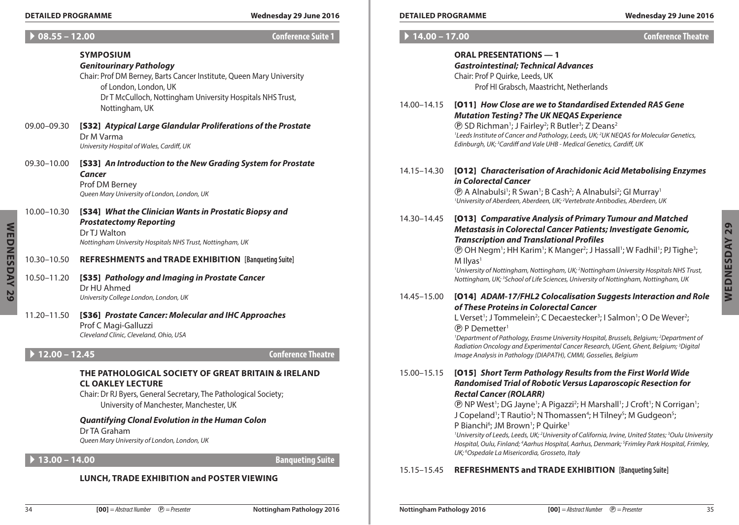#### **Detailed Programme Wednesday 29 June 2016 Detailed Programme Wednesday 29 June 2016**

| <b>Conference Suite 1</b>      | $14.00 - 17.00$ |                                                                                                                                                                                                                                                                                                                         | <b>Conference Theatre</b> |
|--------------------------------|-----------------|-------------------------------------------------------------------------------------------------------------------------------------------------------------------------------------------------------------------------------------------------------------------------------------------------------------------------|---------------------------|
|                                |                 | <b>ORAL PRESENTATIONS - 1</b><br><b>Gastrointestinal; Technical Advances</b>                                                                                                                                                                                                                                            |                           |
| te, Queen Mary University      |                 | Chair: Prof P Quirke, Leeds, UK<br>Prof HI Grabsch, Maastricht, Netherlands                                                                                                                                                                                                                                             |                           |
| ity Hospitals NHS Trust,       |                 |                                                                                                                                                                                                                                                                                                                         |                           |
|                                | 14.00-14.15     | [011] How Close are we to Standardised Extended RAS Gene<br><b>Mutation Testing? The UK NEQAS Experience</b>                                                                                                                                                                                                            |                           |
| ferations of the Prostate      |                 | <b><i>(D)</i></b> SD Richman <sup>1</sup> ; J Fairley <sup>2</sup> ; R Butler <sup>3</sup> ; Z Deans <sup>2</sup><br><sup>1</sup> Leeds Institute of Cancer and Pathology, Leeds, UK; <sup>2</sup> UK NEQAS for Molecular Genetics,<br>Edinburgh, UK; <sup>3</sup> Cardiff and Vale UHB - Medical Genetics, Cardiff, UK |                           |
| ading System for Prostate      | 14.15–14.30     | [012] Characterisation of Arachidonic Acid Metabolising Enzymes<br>in Colorectal Cancer                                                                                                                                                                                                                                 |                           |
|                                |                 | <b><i>(D)</i></b> A Alnabulsi <sup>1</sup> ; R Swan <sup>1</sup> ; B Cash <sup>2</sup> ; A Alnabulsi <sup>2</sup> ; GI Murray <sup>1</sup><br><sup>1</sup> University of Aberdeen, Aberdeen, UK; <sup>2</sup> Vertebrate Antibodies, Aberdeen, UK                                                                       |                           |
| ostatic Biopsy and             | 14.30-14.45     | [013] Comparative Analysis of Primary Tumour and Matched<br>Metastasis in Colorectal Cancer Patients; Investigate Genomic,                                                                                                                                                                                              |                           |
| ngham, UK                      |                 | <b>Transcription and Translational Profiles</b><br><b>(D)</b> OH Negm <sup>1</sup> ; HH Karim <sup>1</sup> ; K Manger <sup>2</sup> ; J Hassall <sup>1</sup> ; W Fadhil <sup>1</sup> ; PJ Tighe <sup>3</sup> ;                                                                                                           |                           |
| <b>TION</b> [Banqueting Suite] |                 | $M$ Ilyas <sup>1</sup>                                                                                                                                                                                                                                                                                                  |                           |
| state Cancer                   |                 | <sup>1</sup> University of Nottingham, Nottingham, UK; <sup>2</sup> Nottingham University Hospitals NHS Trust,<br>Nottingham, UK; <sup>3</sup> School of Life Sciences, University of Nottingham, Nottingham, UK                                                                                                        |                           |
|                                | 14.45-15.00     | [014] ADAM-17/FHL2 Colocalisation Suggests Interaction and Role                                                                                                                                                                                                                                                         |                           |
| d IHC Approaches               |                 | of These Proteins in Colorectal Cancer<br>L Verset <sup>1</sup> ; J Tommelein <sup>2</sup> ; C Decaestecker <sup>3</sup> ; I Salmon <sup>1</sup> ; O De Wever <sup>2</sup> ;                                                                                                                                            |                           |
|                                |                 | <b>(P)</b> P Demetter <sup>1</sup>                                                                                                                                                                                                                                                                                      |                           |
| <b>Conference Theatre</b>      |                 | <sup>1</sup> Department of Pathology, Erasme University Hospital, Brussels, Belgium; <sup>2</sup> Department of<br>Radiation Oncology and Experimental Cancer Research, UGent, Ghent, Belgium; <sup>3</sup> Digital<br>Image Analysis in Pathology (DIAPATH), CMMI, Gosselies, Belgium                                  |                           |
| REAT BRITAIN & IRELAND         | 15.00-15.15     | [015] Short Term Pathology Results from the First World Wide                                                                                                                                                                                                                                                            |                           |
| athological Society;           |                 | Randomised Trial of Robotic Versus Laparoscopic Resection for<br><b>Rectal Cancer (ROLARR)</b>                                                                                                                                                                                                                          |                           |
| er, UK                         |                 | <b><i>(D)</i></b> NP West <sup>1</sup> ; DG Jayne <sup>1</sup> ; A Pigazzi <sup>2</sup> ; H Marshall <sup>1</sup> ; J Croft <sup>1</sup> ; N Corrigan <sup>1</sup> ;                                                                                                                                                    |                           |
| luman Colon                    |                 | J Copeland <sup>1</sup> ; T Rautio <sup>3</sup> ; N Thomassen <sup>4</sup> ; H Tilney <sup>5</sup> ; M Gudgeon <sup>5</sup> ;<br>P Bianchi <sup>6</sup> ; JM Brown <sup>1</sup> ; P Quirke <sup>1</sup>                                                                                                                 |                           |
|                                |                 | <sup>1</sup> University of Leeds, Leeds, UK; <sup>2</sup> University of California, Irvine, United States; <sup>3</sup> Oulu Universit                                                                                                                                                                                  |                           |

*Oulu University Hospital, Oulu, Finland; 4 Aarhus Hospital, Aarhus, Denmark; 5 Frimley Park Hospital, Frimley, UK; 6 Ospedale La Misericordia, Grosseto, Italy*

# 15.15–15.45 **REFRESHMENTS and Trade Exhibition [Banqueting Suite]**

#### $\cdot$  08.55 – 12.00

|                 | <b>SYMPOSIUM</b><br><b>Genitourinary Pathology</b><br>Chair: Prof DM Berney, Barts Cancer Institute, Queen Mary University<br>of London, London, UK<br>Dr T McCulloch, Nottingham University Hospitals NHS Trust,<br>Nottingham, UK |
|-----------------|-------------------------------------------------------------------------------------------------------------------------------------------------------------------------------------------------------------------------------------|
| 09.00-09.30     | [S32] Atypical Large Glandular Proliferations of the Prostate<br>Dr M Varma<br>University Hospital of Wales, Cardiff, UK                                                                                                            |
| 09.30-10.00     | [S33] An Introduction to the New Grading System for Prostate<br>Cancer<br>Prof DM Berney<br>Queen Mary University of London, London, UK                                                                                             |
| 10.00-10.30     | [S34] What the Clinician Wants in Prostatic Biopsy and<br><b>Prostatectomy Reporting</b><br>Dr TJ Walton<br>Nottingham University Hospitals NHS Trust, Nottingham, UK                                                               |
| 10.30-10.50     | <b>REFRESHMENTS and TRADE EXHIBITION [Banqueting Suite]</b>                                                                                                                                                                         |
| 10.50-11.20     | [S35] Pathology and Imaging in Prostate Cancer<br>Dr HU Ahmed<br>University College London, London, UK                                                                                                                              |
| 11.20-11.50     | [S36] Prostate Cancer: Molecular and IHC Approaches<br>Prof C Magi-Galluzzi<br>Cleveland Clinic, Cleveland, Ohio, USA                                                                                                               |
| $12.00 - 12.45$ | <b>Conference Theatre</b>                                                                                                                                                                                                           |
|                 | THE PATHOLOGICAL SOCIETY OF GREAT BRITAIN & IRELAND<br><b>CL OAKLEY LECTURE</b><br>Chair: Dr RJ Byers, General Secretary, The Pathological Society;<br>University of Manchester, Manchester, UK                                     |
|                 | <b>Quantifying Clonal Evolution in the Human Colon</b>                                                                                                                                                                              |

Dr TA Graham

*Queen Mary University of London, London, UK*

# A **13.00 – 14.00 Banqueting Suite**

# **Lunch, Trade Exhibition and Poster Viewing**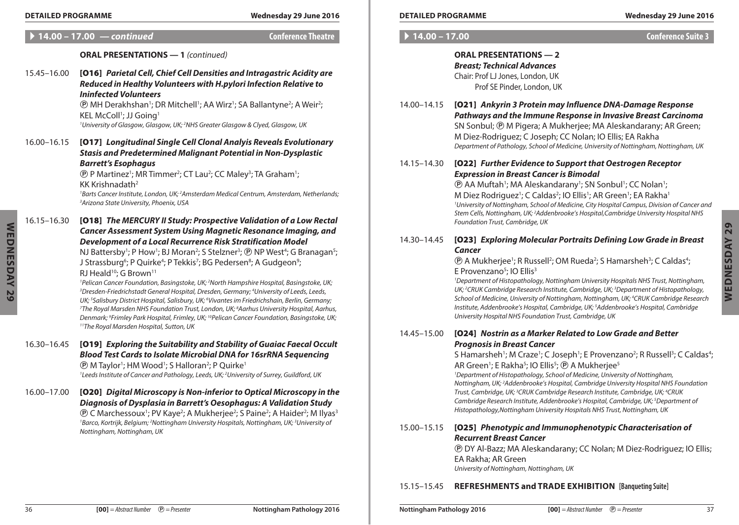**Detailed Programme Wednesday 29 June 2016 Detailed Programme Wednesday 29 June 2016**

| <b>Conference Suite 3</b> |  |  |  |
|---------------------------|--|--|--|
|                           |  |  |  |

# **ORAL PRESENTATIONS — 2** *Breast; Technical Advances* Chair: Prof LJ Jones, London, UK Prof SE Pinder, London, UK

14.00–14.15 [O21] *Ankyrin 3 Protein may Influence DNA-Damage Response Pathways and the Immune Response in Invasive Breast Carcinoma* SN Sonbul; P M Pigera; A Mukherjee; MA Aleskandarany; AR Green; M Diez-Rodriguez; C Joseph; CC Nolan; IO Ellis; EA Rakha *Department of Pathology, School of Medicine, University of Nottingham, Nottingham, UK*

# 14.15–14.30 [O22] *Further Evidence to Support that Oestrogen Receptor Expression in Breast Cancer is Bimodal*

**(B)** AA Muftah<sup>1</sup>; MA Aleskandarany<sup>1</sup>; SN Sonbul<sup>1</sup>; CC Nolan<sup>1</sup>; M Diez Rodriguez<sup>1</sup>; C Caldas<sup>2</sup>; IO Ellis<sup>1</sup>; AR Green<sup>1</sup>; EA Rakha<sup>1</sup> *1 University of Nottingham, School of Medicine, City Hospital Campus, Division of Cancer and*  Stem Cells, Nottingham, UK; <sup>2</sup>Addenbrooke's Hospital,Cambridge University Hospital NHS *Foundation Trust, Cambridge, UK*

# 14.30–14.45 [O23] *Exploring Molecular Portraits Defining Low Grade in Breast Cancer*

**(B)** A Mukherjee<sup>1</sup>; R Russell<sup>2</sup>; OM Rueda<sup>2</sup>; S Hamarsheh<sup>3</sup>; C Caldas<sup>4</sup>; E Provenzano<sup>5</sup>; IO Ellis<sup>3</sup>

*1 Department of Histopathology, Nottingham University Hospitals NHS Trust, Nottingham, UK; 2 CRUK Cambridge Research Institute, Cambridge, UK; 3 Department of Histopathology, School of Medicine, University of Nottingham, Nottingham, UK; 4 CRUK Cambridge Research Institute, Addenbrooke's Hospital, Cambridge, UK; 5 Addenbrooke's Hospital, Cambridge University Hospital NHS Foundation Trust, Cambridge, UK*

# 14.45–15.00 [O24] *Nostrin as a Marker Related to Low Grade and Better Prognosis in Breast Cancer*

S Hamarsheh<sup>1</sup>; M Craze<sup>1</sup>; C Joseph<sup>1</sup>; E Provenzano<sup>2</sup>; R Russell<sup>3</sup>; C Caldas<sup>4</sup>;

AR Green<sup>1</sup>; E Rakha<sup>5</sup>; IO Ellis<sup>5</sup>; <sup>®</sup> A Mukherjee<sup>5</sup> *1 Department of Histopathology, School of Medicine, University of Nottingham, Nottingham, UK; 2 Addenbrooke's Hospital, Cambridge University Hospital NHS Foundation Trust, Cambridge, UK; 3 CRUK Cambridge Research Institute, Cambridge, UK; 4 CRUK Cambridge Research Institute, Addenbrooke's Hospital, Cambridge, UK; 5 Department of Histopathology,Nottingham University Hospitals NHS Trust, Nottingham, UK*

# 15.00–15.15 [O25] *Phenotypic and Immunophenotypic Characterisation of Recurrent Breast Cancer*

P DY Al-Bazz; MA Aleskandarany; CC Nolan; M Diez-Rodriguez; IO Ellis; EA Rakha; AR Green *University of Nottingham, Nottingham, UK*

# 15.15–15.45 **REFRESHMENTS and Trade Exhibition [Banqueting Suite]**

**ORAL PRESENTATIONS — 1** *(continued)*

# 15.45–16.00 [O16] *Parietal Cell, Chief Cell Densities and Intragastric Acidity are Reduced in Healthy Volunteers with H.pylori Infection Relative to Ininfected Volunteers*

*<b>@ MH Derakhshan<sup>1</sup>; DR Mitchell<sup>1</sup>; AA Wirz<sup>1</sup>; SA Ballantyne<sup>2</sup>; A Weir<sup>2</sup>;* KEL McColl<sup>1</sup>; JJ Going<sup>1</sup> *1 University of Glasgow, Glasgow, UK; 2 NHS Greater Glasgow & Clyed, Glasgow, UK*

# 16.00–16.15 [O17] *Longitudinal Single Cell Clonal Analyis Reveals Evolutionary Stasis and Predetermined Malignant Potential in Non-Dysplastic Barrett's Esophagus*

**(B)** P Martinez<sup>1</sup>; MR Timmer<sup>2</sup>; CT Lau<sup>2</sup>; CC Maley<sup>3</sup>; TA Graham<sup>1</sup>; KK Krishnadath2

<sup>1</sup>Barts Cancer Institute, London, UK; <sup>2</sup>Amsterdam Medical Centrum, Amsterdam, Netherlands;<br><sup>3</sup>Arizona State University, Phoenix, USA *Arizona State University, Phoenix, USA*

16.15–16.30 [O18] *The MERCURY II Study: Prospective Validation of a Low Rectal Cancer Assessment System Using Magnetic Resonance Imaging, and Development of a Local Recurrence Risk Stratification Model*

NJ Battersby<sup>1</sup>; P How<sup>1</sup>; BJ Moran<sup>2</sup>; S Stelzner<sup>3</sup>; <sup>@</sup> NP West<sup>4</sup>; G Branagan<sup>5</sup>; J Strassburg<sup>6</sup>; P Quirke<sup>4</sup>; P Tekkis<sup>7</sup>; BG Pedersen<sup>8</sup>; A Gudgeon<sup>9</sup>; RJ Heald<sup>10</sup>; G Brown<sup>11</sup>

<sup>1</sup> Pelican Cancer Foundation, Basingstoke, UK; <sup>2</sup>North Hampshire Hospital, Basingstoke, UK;<br><sup>3</sup>Dresden-Friedrichstadt General Hospital, Dresden, Germany: <sup>4</sup>University of Leeds, Leeds *Dresden-Friedrichstadt General Hospital, Dresden, Germany; 4 University of Leeds, Leeds,*  UK; <sup>s</sup>Salisbury District Hospital, Salisbury, UK; <sup>6</sup>Vivantes im Friedrichshain, Berlin, Germany;<br><sup>7</sup>The Royal Marsden NHS Foundation Trust Tondon, UK: <sup>8</sup>Aarbus University Hospital, Aarbu *The Royal Marsden NHS Foundation Trust, London, UK; 8 Aarhus University Hospital, Aarhus,*  Denmark; <sup>9</sup>Frimley Park Hospital, Frimley, UK; <sup>10</sup>Pelican Cancer Foundation, Basingstoke, UK;<br>''The Royal Marsden Hospital, Sutton, UK

- 16.30–16.45 [O19] *Exploring the Suitability and Stability of Guaiac Faecal Occult Blood Test Cards to Isolate Microbial DNA for 16srRNA Sequencing* **(B)** M Taylor<sup>1</sup>; HM Wood<sup>1</sup>; S Halloran<sup>2</sup>; P Quirke<sup>1</sup> <sup>1</sup> Leeds Institute of Cancer and Pathology, Leeds, UK; <sup>2</sup> University of Surrey, Guildford, UK
- 16.00–17.00 [O20] *Digital Microscopy is Non-inferior to Optical Microscopy in the Diagnosis of Dysplasia in Barrett's Oesophagus: A Validation Study <b>D* C Marchessoux<sup>1</sup>; PV Kaye<sup>2</sup>; A Mukherjee<sup>2</sup>; S Paine<sup>2</sup>; A Haider<sup>2</sup>; M Ilyas<sup>3</sup> *1 Barco, Kortrijk, Belgium; 2 Nottingham University Hospitals, Nottingham, UK; 3 University of Nottingham, Nottingham, UK*

**Wednesday 29**

WEDNESDAY 29

 $\blacktriangleright$  14.00 – 17.00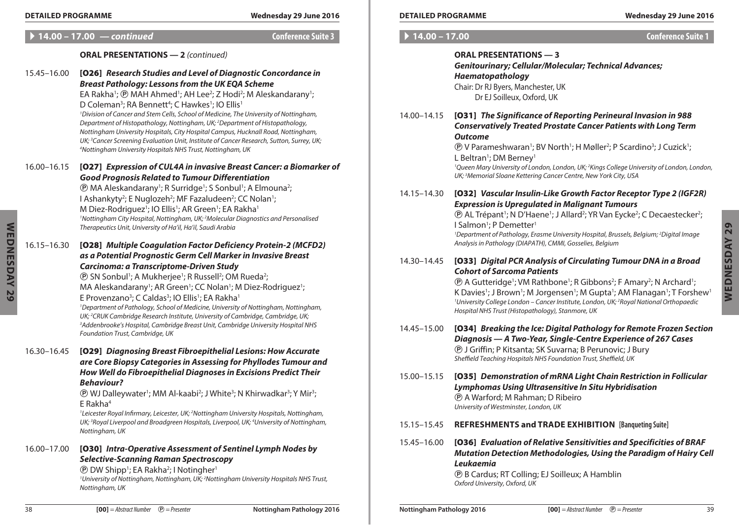| ' 14.00 – 17.00 | l — continued |
|-----------------|---------------|
|-----------------|---------------|

A **14.00 – 17.00** *— continued* **Conference Suite 3**

# **ORAL PRESENTATIONS — 2** *(continued)*

| WEDNESDAY 29 | 15.45-16.00 | [026] Research Studies and Level of Diagnostic Concordance in<br><b>Breast Pathology: Lessons from the UK EQA Scheme</b><br>EA Rakha <sup>1</sup> ; ® MAH Ahmed <sup>1</sup> ; AH Lee <sup>2</sup> ; Z Hodi <sup>2</sup> ; M Aleskandarany <sup>1</sup> ;<br>D Coleman <sup>3</sup> ; RA Bennett <sup>4</sup> ; C Hawkes <sup>1</sup> ; IO Ellis <sup>1</sup><br><sup>1</sup> Division of Cancer and Stem Cells, School of Medicine, The University of Nottingham,<br>Department of Histopathology, Nottingham, UK; <sup>2</sup> Department of Histopathology,<br>Nottingham University Hospitals, City Hospital Campus, Hucknall Road, Nottingham,<br>UK; <sup>3</sup> Cancer Screening Evaluation Unit, Institute of Cancer Research, Sutton, Surrey, UK;<br><sup>4</sup> Nottingham University Hospitals NHS Trust, Nottingham, UK                     |
|--------------|-------------|-----------------------------------------------------------------------------------------------------------------------------------------------------------------------------------------------------------------------------------------------------------------------------------------------------------------------------------------------------------------------------------------------------------------------------------------------------------------------------------------------------------------------------------------------------------------------------------------------------------------------------------------------------------------------------------------------------------------------------------------------------------------------------------------------------------------------------------------------------------|
|              | 16.00-16.15 | [027] Expression of CUL4A in invasive Breast Cancer: a Biomarker of<br><b>Good Prognosis Related to Tumour Differentiation</b><br><b><i>@ MA Aleskandarany<sup>1</sup>; R Surridge<sup>1</sup>; S Sonbul<sup>1</sup>; A Elmouna<sup>2</sup>;</i></b><br>I Ashankyty <sup>2</sup> ; E Nuglozeh <sup>2</sup> ; MF Fazaludeen <sup>2</sup> ; CC Nolan <sup>1</sup> ;<br>M Diez-Rodriguez <sup>1</sup> ; IO Ellis <sup>1</sup> ; AR Green <sup>1</sup> ; EA Rakha <sup>1</sup><br><sup>1</sup> Nottingham City Hospital, Nottingham, UK; <sup>2</sup> Molecular Diagnostics and Personalised<br>Therapeutics Unit, University of Ha'il, Ha'il, Saudi Arabia                                                                                                                                                                                                   |
|              | 16.15-16.30 | [028] Multiple Coagulation Factor Deficiency Protein-2 (MCFD2)<br>as a Potential Prognostic Germ Cell Marker in Invasive Breast<br><b>Carcinoma: a Transcriptome-Driven Study</b><br><b>(D SN Sonbul<sup>1</sup>; A Mukherjee<sup>1</sup>; R Russell<sup>2</sup>; OM Rueda<sup>2</sup>;</b><br>MA Aleskandarany <sup>1</sup> ; AR Green <sup>1</sup> ; CC Nolan <sup>1</sup> ; M Diez-Rodriguez <sup>1</sup> ;<br>E Provenzano <sup>3</sup> ; C Caldas <sup>3</sup> ; IO Ellis <sup>1</sup> ; EA Rakha <sup>1</sup><br><sup>1</sup> Department of Pathology, School of Medicine, University of Nottingham, Nottingham,<br>UK; <sup>2</sup> CRUK Cambridge Research Institute, University of Cambridge, Cambridge, UK;<br><sup>3</sup> Addenbrooke's Hospital, Cambridge Breast Unit, Cambridge University Hospital NHS<br>Foundation Trust, Cambridge, UK |
|              | 16.30-16.45 | [029] Diagnosing Breast Fibroepithelial Lesions: How Accurate<br>are Core Biopsy Categories in Assessing for Phyllodes Tumour and<br>How Well do Fibroepithelial Diagnoses in Excisions Predict Their<br><b>Behaviour?</b><br><b><i>@</i></b> WJ Dalleywater <sup>1</sup> ; MM Al-kaabi <sup>2</sup> ; J White <sup>3</sup> ; N Khirwadkar <sup>3</sup> ; Y Mir <sup>3</sup> ;<br>$E$ Rakha <sup>4</sup><br><sup>1</sup> Leicester Royal Infirmary, Leicester, UK; <sup>2</sup> Nottingham University Hospitals, Nottingham,<br>UK; <sup>3</sup> Royal Liverpool and Broadgreen Hospitals, Liverpool, UK; <sup>4</sup> University of Nottingham,<br>Nottingham, UK                                                                                                                                                                                        |
|              | 16.00-17.00 | [O30] Intra-Operative Assessment of Sentinel Lymph Nodes by<br><b>Selective-Scanning Raman Spectroscopy</b><br><b><i><b>@</b></i> DW Shipp<sup>1</sup>; EA Rakha<sup>2</sup>; I Notingher<sup>1</sup></b><br><sup>1</sup> University of Nottingham, Nottingham, UK; <sup>2</sup> Nottingham University Hospitals NHS Trust,<br>Nottingham, UK                                                                                                                                                                                                                                                                                                                                                                                                                                                                                                             |

|  |  |  | $14.00 - 17.00$ |  |
|--|--|--|-----------------|--|
|--|--|--|-----------------|--|

A **14.00 – 17.00 Conference Suite 1**

|             | <b>ORAL PRESENTATIONS - 3</b><br><b>Genitourinary; Cellular/Molecular; Technical Advances;</b><br>Haematopathology<br>Chair: Dr RJ Byers, Manchester, UK<br>Dr EJ Soilleux, Oxford, UK                                                                                                                                                                                                                                                                                                                                                                                          |
|-------------|---------------------------------------------------------------------------------------------------------------------------------------------------------------------------------------------------------------------------------------------------------------------------------------------------------------------------------------------------------------------------------------------------------------------------------------------------------------------------------------------------------------------------------------------------------------------------------|
| 14.00-14.15 | [031] The Significance of Reporting Perineural Invasion in 988<br><b>Conservatively Treated Prostate Cancer Patients with Long Term</b><br><b>Outcome</b><br>(D) V Parameshwaran <sup>1</sup> ; BV North <sup>1</sup> ; H Møller <sup>2</sup> ; P Scardino <sup>3</sup> ; J Cuzick <sup>1</sup> ;<br>L Beltran <sup>1</sup> ; DM Berney <sup>1</sup><br><sup>1</sup> Queen Mary University of London, London, UK; <sup>2</sup> Kings College University of London, London,<br>UK; <sup>3</sup> Memorial Sloane Kettering Cancer Centre, New York City, USA                      |
| 14.15-14.30 | [032] Vascular Insulin-Like Growth Factor Receptor Type 2 (IGF2R)<br><b>Expression is Upregulated in Malignant Tumours</b><br>(D) AL Trépant <sup>1</sup> ; N D'Haene <sup>1</sup> ; J Allard <sup>2</sup> ; YR Van Eycke <sup>2</sup> ; C Decaestecker <sup>2</sup> ;<br>I Salmon <sup>1</sup> ; P Demetter <sup>1</sup><br><sup>1</sup> Department of Pathology, Erasme University Hospital, Brussels, Belgium; <sup>2</sup> Digital Image<br>Analysis in Pathology (DIAPATH), CMMI, Gosselies, Belgium                                                                       |
| 14.30-14.45 | [033] Digital PCR Analysis of Circulating Tumour DNA in a Broad<br><b>Cohort of Sarcoma Patients</b><br><b>(B)</b> A Gutteridge <sup>1</sup> ; VM Rathbone <sup>1</sup> ; R Gibbons <sup>2</sup> ; F Amary <sup>2</sup> ; N Archard <sup>1</sup> ;<br>K Davies <sup>1</sup> ; J Brown <sup>1</sup> ; M Jorgensen <sup>1</sup> ; M Gupta <sup>1</sup> ; AM Flanagan <sup>1</sup> ; T Forshew <sup>1</sup><br><sup>1</sup> University College London - Cancer Institute, London, UK; <sup>2</sup> Royal National Orthopaedic<br>Hospital NHS Trust (Histopathology), Stanmore, UK |
| 14.45-15.00 | [034] Breaking the Ice: Digital Pathology for Remote Frozen Section<br>Diagnosis - A Two-Year, Single-Centre Experience of 267 Cases<br><b>D</b> J Griffin; P Kitsanta; SK Suvarna; B Perunovic; J Bury<br>Sheffield Teaching Hospitals NHS Foundation Trust, Sheffield, UK                                                                                                                                                                                                                                                                                                     |
| 15.00-15.15 | [035] Demonstration of mRNA Light Chain Restriction in Follicular<br>Lymphomas Using Ultrasensitive In Situ Hybridisation<br><b><i>@</i></b> A Warford; M Rahman; D Ribeiro<br>University of Westminster, London, UK                                                                                                                                                                                                                                                                                                                                                            |
|             |                                                                                                                                                                                                                                                                                                                                                                                                                                                                                                                                                                                 |

- 15.15–15.45 **REFRESHMENTS and Trade Exhibition [Banqueting Suite]**
- 15.45–16.00 [O36] *Evaluation of Relative Sensitivities and Specificities of BRAF Mutation Detection Methodologies, Using the Paradigm of Hairy Cell Leukaemia* P B Cardus; RT Colling; EJ Soilleux; A Hamblin *Oxford University, Oxford, UK*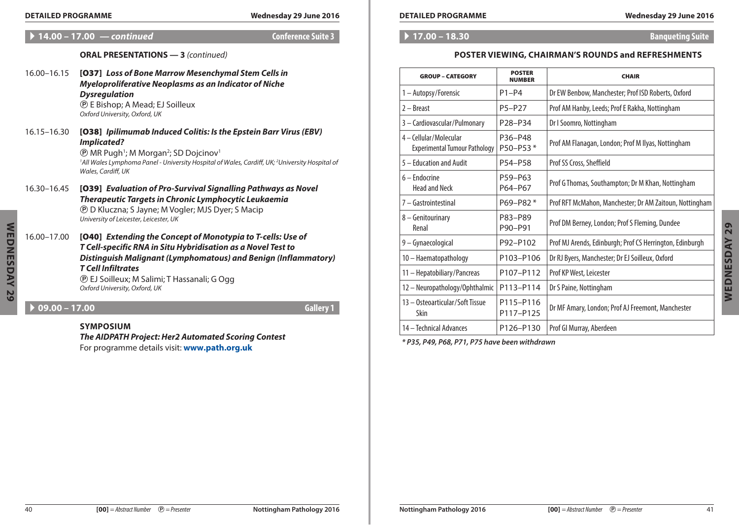# A **14.00 – 17.00** *— continued* **Conference Suite 3**

# **ORAL PRESENTATIONS — 3** *(continued)*

- 16.00–16.15 [O37] *Loss of Bone Marrow Mesenchymal Stem Cells in Myeloproliferative Neoplasms as an Indicator of Niche Dysregulation* P E Bishop; A Mead; EJ Soilleux *Oxford University, Oxford, UK*
- 16.15–16.30 [O38] *Ipilimumab Induced Colitis: Is the Epstein Barr Virus (EBV) Implicated? <b>@ MR Pugh<sup>1</sup>; M Morgan<sup>2</sup>; SD Dojcinov*

*1 All Wales Lymphoma Panel - University Hospital of Wales, Cardiff, UK; 2 University Hospital of Wales, Cardiff, UK*

- 16.30–16.45 [O39] *Evaluation of Pro-Survival Signalling Pathways as Novel Therapeutic Targets in Chronic Lymphocytic Leukaemia* P D Kluczna; S Jayne; M Vogler; MJS Dyer; S Macip *University of Leicester, Leicester, UK*
- 16.00–17.00 [O40] *Extending the Concept of Monotypia to T-cells: Use of T Cell-specific RNA in Situ Hybridisation as a Novel Test to Distinguish Malignant (Lymphomatous) and Benign (Inflammatory) T Cell Infiltrates* P EJ Soilleux; M Salimi; T Hassanali; G Ogg

*Oxford University, Oxford, UK*

# A **09.00 – 17.00 Gallery 1**

# **Symposium**

*The AIDPATH Project: Her2 Automated Scoring Contest* For programme details visit: **[www.path.org.uk](http://www.path.org.uk)**

### A **17.00 – 18.30 Banqueting Suite**

# **Poster Viewing, Chairman's Rounds and Refreshments**

| <b>GROUP - CATEGORY</b>                                        | <b>POSTER</b><br><b>NUMBER</b> | <b>CHAIR</b>                                             |
|----------------------------------------------------------------|--------------------------------|----------------------------------------------------------|
| 1 - Autopsy/Forensic                                           | $P1-P4$                        | Dr EW Benbow, Manchester; Prof ISD Roberts, Oxford       |
| 2 – Breast                                                     | P5-P27                         | Prof AM Hanby, Leeds; Prof E Rakha, Nottingham           |
| 3 - Cardiovascular/Pulmonary                                   | P28-P34                        | Dr I Soomro, Nottingham                                  |
| 4 - Cellular/Molecular<br><b>Experimental Tumour Pathology</b> | P36-P48<br>P50-P53*            | Prof AM Flanagan, London; Prof M Ilyas, Nottingham       |
| 5 - Education and Audit                                        | P54-P58                        | Prof SS Cross, Sheffield                                 |
| 6 – Endocrine<br><b>Head and Neck</b>                          | P59-P63<br>P64-P67             | Prof G Thomas, Southampton; Dr M Khan, Nottingham        |
| 7 - Gastrointestinal                                           | P69-P82*                       | Prof RFT McMahon, Manchester; Dr AM Zaitoun, Nottingham  |
| 8 - Genitourinary<br>Renal                                     | P83-P89<br>P90-P91             | Prof DM Berney, London; Prof S Fleming, Dundee           |
| 9 - Gynaecological                                             | P92-P102                       | Prof MJ Arends, Edinburgh; Prof CS Herrington, Edinburgh |
| 10 - Haematopathology                                          | P103-P106                      | Dr RJ Byers, Manchester; Dr EJ Soilleux, Oxford          |
| 11 - Hepatobiliary/Pancreas                                    | P107-P112                      | Prof KP West, Leicester                                  |
| 12 - Neuropathology/Ophthalmic                                 | P113-P114                      | Dr S Paine, Nottingham                                   |
| 13 - Osteoarticular/Soft Tissue<br>Skin                        | P115-P116<br>P117-P125         | Dr MF Amary, London; Prof AJ Freemont, Manchester        |
| 14 – Technical Advances                                        | P126-P130                      | Prof GI Murray, Aberdeen                                 |

*\* P35, P49, P68, P71, P75 have been withdrawn*

**Wednesday 29**

WEDNESDAY 29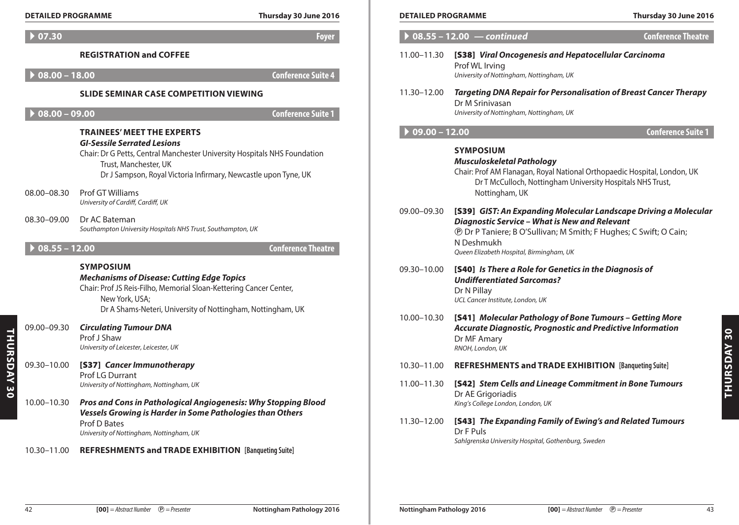|  |  | <b>DETAILED PROGRAMME</b> |
|--|--|---------------------------|
|  |  |                           |

| <b>DETAILED PROGRAMME</b>      |                                                                                                                                                                                                                                                                       | Thursday 30 June 2016     | <b>DETAILED PROGRAMME</b> |                                                                                                                                                                                                                    | Thursday 30 June 2016     |
|--------------------------------|-----------------------------------------------------------------------------------------------------------------------------------------------------------------------------------------------------------------------------------------------------------------------|---------------------------|---------------------------|--------------------------------------------------------------------------------------------------------------------------------------------------------------------------------------------------------------------|---------------------------|
| $\triangleright$ 07.30         |                                                                                                                                                                                                                                                                       | <b>Foyer</b>              |                           | $\rightarrow$ 08.55 - 12.00 $-$ continued                                                                                                                                                                          | <b>Conference Theatre</b> |
| $08.00 - 18.00$                | <b>REGISTRATION and COFFEE</b>                                                                                                                                                                                                                                        | <b>Conference Suite 4</b> | 11.00-11.30               | [S38] Viral Oncogenesis and Hepatocellular Carcinoma<br>Prof WL Irving<br>University of Nottingham, Nottingham, UK                                                                                                 |                           |
| $0.00 - 09.00$                 | <b>SLIDE SEMINAR CASE COMPETITION VIEWING</b>                                                                                                                                                                                                                         | <b>Conference Suite 1</b> | 11.30-12.00               | <b>Targeting DNA Repair for Personalisation of Breast Cancer Therapy</b><br>Dr M Sriniyasan<br>University of Nottingham, Nottingham, UK                                                                            |                           |
|                                | <b>TRAINEES' MEET THE EXPERTS</b>                                                                                                                                                                                                                                     |                           | $09.00 - 12.00$           |                                                                                                                                                                                                                    | <b>Conference Suite 1</b> |
| 08.00-08.30                    | <b>GI-Sessile Serrated Lesions</b><br>Chair: Dr G Petts, Central Manchester University Hospitals NHS Foundation<br>Trust, Manchester, UK<br>Dr J Sampson, Royal Victoria Infirmary, Newcastle upon Tyne, UK<br>Prof GT Williams<br>University of Cardiff, Cardiff, UK |                           |                           | <b>SYMPOSIUM</b><br><b>Musculoskeletal Pathology</b><br>Chair: Prof AM Flanagan, Royal National Orthopaedic Hospital, London, UK<br>Dr T McCulloch, Nottingham University Hospitals NHS Trust,<br>Nottingham, UK   |                           |
| 08.30-09.00<br>$08.55 - 12.00$ | Dr AC Bateman<br>Southampton University Hospitals NHS Trust, Southampton, UK                                                                                                                                                                                          |                           | 09.00-09.30               | [S39] GIST: An Expanding Molecular Landscape Driving a Molecular<br>Diagnostic Service - What is New and Relevant<br><b><i>@</i></b> Dr P Taniere; B O'Sullivan; M Smith; F Hughes; C Swift; O Cain;<br>N Deshmukh |                           |
|                                |                                                                                                                                                                                                                                                                       | <b>Conference Theatre</b> |                           | Queen Elizabeth Hospital, Birmingham, UK                                                                                                                                                                           |                           |
|                                | <b>SYMPOSIUM</b><br><b>Mechanisms of Disease: Cutting Edge Topics</b><br>Chair: Prof JS Reis-Filho, Memorial Sloan-Kettering Cancer Center,<br>New York, USA;<br>Dr A Shams-Neteri, University of Nottingham, Nottingham, UK                                          |                           | 09.30-10.00               | [S40] Is There a Role for Genetics in the Diagnosis of<br><b>Undifferentiated Sarcomas?</b><br>Dr N Pillay<br>UCL Cancer Institute, London, UK                                                                     |                           |
| 09.00-09.30                    | <b>Circulating Tumour DNA</b><br>Prof J Shaw<br>University of Leicester, Leicester, UK                                                                                                                                                                                |                           | 10.00-10.30               | [S41] Molecular Pathology of Bone Tumours - Getting More<br>Accurate Diagnostic, Prognostic and Predictive Information<br>Dr MF Amary<br>RNOH, London, UK                                                          |                           |
| 09.30-10.00                    | [S37] Cancer Immunotherapy                                                                                                                                                                                                                                            |                           | 10.30-11.00               | REFRESHMENTS and TRADE EXHIBITION [Banqueting Suite]                                                                                                                                                               |                           |
| 10.00-10.30                    | Prof LG Durrant<br>University of Nottingham, Nottingham, UK<br>Pros and Cons in Pathological Angiogenesis: Why Stopping Blood<br>Vessels Growing is Harder in Some Pathologies than Others                                                                            |                           | 11.00-11.30               | [S42] Stem Cells and Lineage Commitment in Bone Tumours<br>Dr AE Grigoriadis<br>King's College London, London, UK                                                                                                  |                           |
|                                | Prof D Bates<br>University of Nottingham, Nottingham, UK                                                                                                                                                                                                              |                           | 11.30–12.00               | [S43] The Expanding Family of Ewing's and Related Tumours<br>Dr F Puls<br>Sahlgrenska University Hospital, Gothenburg, Sweden                                                                                      |                           |
| 10.30-11.00                    | <b>REFRESHMENTS and TRADE EXHIBITION [Banqueting Suite]</b>                                                                                                                                                                                                           |                           |                           |                                                                                                                                                                                                                    |                           |
|                                |                                                                                                                                                                                                                                                                       |                           |                           |                                                                                                                                                                                                                    |                           |

| <b>DETAILED PROGRAMME</b> |                                                                                                                                                                                                                                                                | Thursday 30 June 2016     |
|---------------------------|----------------------------------------------------------------------------------------------------------------------------------------------------------------------------------------------------------------------------------------------------------------|---------------------------|
| $08.55 - 12.00 -$         | – continued                                                                                                                                                                                                                                                    | <b>Conference Theatre</b> |
| 11.00-11.30               | [S38] Viral Oncogenesis and Hepatocellular Carcinoma<br>Prof WL Irving<br>University of Nottingham, Nottingham, UK                                                                                                                                             |                           |
| 11.30-12.00               | <b>Targeting DNA Repair for Personalisation of Breast Cancer Therapy</b><br>Dr M Srinivasan<br>University of Nottingham, Nottingham, UK                                                                                                                        |                           |
| $09.00 - 12.00$           |                                                                                                                                                                                                                                                                | <b>Conference Suite 1</b> |
|                           | <b>SYMPOSIUM</b><br><b>Musculoskeletal Pathology</b><br>Chair: Prof AM Flanagan, Royal National Orthopaedic Hospital, London, UK<br>Dr T McCulloch, Nottingham University Hospitals NHS Trust,<br>Nottingham, UK                                               |                           |
| 09.00-09.30               | [S39] GIST: An Expanding Molecular Landscape Driving a Molecular<br>Diagnostic Service - What is New and Relevant<br><b><i>@</i></b> Dr P Taniere; B O'Sullivan; M Smith; F Hughes; C Swift; O Cain;<br>N Deshmukh<br>Queen Elizabeth Hospital, Birmingham, UK |                           |
| 09.30-10.00               | [S40] Is There a Role for Genetics in the Diagnosis of<br><b>Undifferentiated Sarcomas?</b><br>Dr N Pillav<br>UCL Cancer Institute, London, UK                                                                                                                 |                           |
| 10.00-10.30               | [S41] Molecular Pathology of Bone Tumours - Getting More<br><b>Accurate Diagnostic, Prognostic and Predictive Information</b><br>Dr MF Amary<br>RNOH, London, UK                                                                                               |                           |
| 10.30-11.00               | <b>REFRESHMENTS and TRADE EXHIBITION [Banqueting Suite]</b>                                                                                                                                                                                                    |                           |
| 11.00-11.30               | [S42] Stem Cells and Lineage Commitment in Bone Tumours<br>Dr AE Grigoriadis<br>King's College London, London, UK                                                                                                                                              |                           |
| 11.30-12.00               | [S43] The Expanding Family of Ewing's and Related Tumours<br>Dr F Puls<br>Sahlgrenska University Hospital, Gothenburg, Sweden                                                                                                                                  |                           |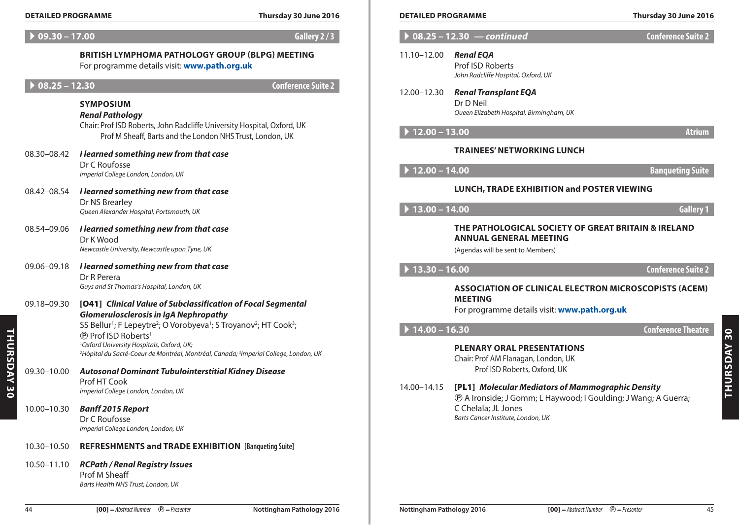# A **09.30 – 17.00 Gallery 2 / 3**

# A **08.25 – 12.30 Conference Suite 2**

#### **Symposium** *Renal Pathology*

- 08.30–08.42 *I learned something new from that case* Dr C Roufosse *Imperial College London, London, UK*
- 08.42–08.54 *I learned something new from that case* Dr NS Brearley *Queen Alexander Hospital, Portsmouth, UK*
- 08.54–09.06 *I learned something new from that case* Dr K Wood *Newcastle University, Newcastle upon Tyne, UK*
- 09.06–09.18 *I learned something new from that case* Dr R Perera *Guys and St Thomas's Hospital, London, UK*
- 09.18–09.30 [O41] *Clinical Value of Subclassification of Focal Segmental Glomerulosclerosis in IgA Nephropathy*

- 09.30–10.00 *Autosonal Dominant Tubulointerstitial Kidney Disease* Prof HT Cook *Imperial College London, London, UK*
- 10.00–10.30 *Banff 2015 Report* Dr C Roufosse *Imperial College London, London, UK*

# 10.30–10.50 **REFRESHMENTS and Trade Exhibition [Banqueting Suite]**

**Thursday 30**

THURSDAY 30

| <b>PROGRAMME</b><br><b>DETAILF</b><br>DDC | 2016<br>.0 June<br>. saav | <b>TAILED PROGRAMME</b> | 30<br>201،<br>hursdav<br>l⊔ne |
|-------------------------------------------|---------------------------|-------------------------|-------------------------------|
|                                           |                           |                         |                               |

| $09.30 - 17.00$                                            |                                                                                                                                                                              | Gallery 2/3               |                                     | $08.25 - 12.30$ - continued                                                                                                       | <b>Conference Suite 2</b>                                |
|------------------------------------------------------------|------------------------------------------------------------------------------------------------------------------------------------------------------------------------------|---------------------------|-------------------------------------|-----------------------------------------------------------------------------------------------------------------------------------|----------------------------------------------------------|
|                                                            | <b>BRITISH LYMPHOMA PATHOLOGY GROUP (BLPG) MEETING</b><br>For programme details visit: www.path.org.uk                                                                       |                           | 11.10-12.00                         | <b>Renal EQA</b><br>Prof ISD Roberts<br>John Radcliffe Hospital, Oxford, UK                                                       |                                                          |
| $08.25 - 12.30$                                            |                                                                                                                                                                              | <b>Conference Suite 2</b> |                                     |                                                                                                                                   |                                                          |
|                                                            | <b>SYMPOSIUM</b><br><b>Renal Pathology</b><br>Chair: Prof ISD Roberts, John Radcliffe University Hospital, Oxford, UK                                                        |                           | 12.00-12.30                         | <b>Renal Transplant EQA</b><br>Dr D Neil<br>Queen Elizabeth Hospital, Birmingham, UK                                              |                                                          |
|                                                            | Prof M Sheaff, Barts and the London NHS Trust, London, UK                                                                                                                    |                           | $12.00 - 13.00$                     |                                                                                                                                   | <b>Atrium</b>                                            |
| 08.30-08.42                                                | I learned something new from that case                                                                                                                                       |                           |                                     | <b>TRAINEES' NETWORKING LUNCH</b>                                                                                                 |                                                          |
|                                                            | Dr C Roufosse<br>Imperial College London, London, UK                                                                                                                         |                           | $12.00 - 14.00$                     |                                                                                                                                   | <b>Banqueting Suite</b>                                  |
| 08.42-08.54                                                | I learned something new from that case                                                                                                                                       |                           |                                     | LUNCH, TRADE EXHIBITION and POSTER VIEWING                                                                                        |                                                          |
| Dr NS Brearley<br>Queen Alexander Hospital, Portsmouth, UK |                                                                                                                                                                              |                           | $\blacktriangleright$ 13.00 – 14.00 |                                                                                                                                   | <b>Gallery 1</b>                                         |
| 08.54-09.06                                                | I learned something new from that case<br>Dr K Wood<br>Newcastle University, Newcastle upon Tyne, UK                                                                         |                           |                                     | <b>ANNUAL GENERAL MEETING</b><br>(Agendas will be sent to Members)                                                                | THE PATHOLOGICAL SOCIETY OF GREAT BRITAIN & IRELAND      |
| 09.06-09.18                                                | I learned something new from that case                                                                                                                                       |                           | $\blacktriangleright$ 13.30 - 16.00 |                                                                                                                                   | <b>Conference Suite 2</b>                                |
|                                                            | Dr R Perera<br>Guys and St Thomas's Hospital, London, UK                                                                                                                     |                           |                                     |                                                                                                                                   | ASSOCIATION OF CLINICAL ELECTRON MICROSCOPISTS (ACEM)    |
| 09.18-09.30                                                | [041] Clinical Value of Subclassification of Focal Segmental<br><b>Glomerulosclerosis in IgA Nephropathy</b>                                                                 |                           |                                     | <b>MEETING</b><br>For programme details visit: www.path.org.uk                                                                    |                                                          |
|                                                            | SS Bellur <sup>1</sup> ; F Lepeytre <sup>2</sup> ; O Vorobyeva <sup>1</sup> ; S Troyanov <sup>2</sup> ; HT Cook <sup>3</sup> ;<br><sup>®</sup> Prof ISD Roberts <sup>1</sup> |                           | $14.00 - 16.30$                     |                                                                                                                                   | <b>Conference Theatre</b>                                |
|                                                            | <sup>1</sup> Oxford University Hospitals, Oxford, UK;<br><sup>2</sup> Hôpital du Sacré-Coeur de Montréal, Montréal, Canada; <sup>3</sup> Imperial College, London, UK        |                           |                                     | <b>PLENARY ORAL PRESENTATIONS</b><br>Chair: Prof AM Flanagan, London, UK                                                          |                                                          |
| 09.30-10.00                                                | <b>Autosonal Dominant Tubulointerstitial Kidney Disease</b>                                                                                                                  |                           |                                     | Prof ISD Roberts, Oxford, UK                                                                                                      |                                                          |
|                                                            | Prof HT Cook<br>Imperial College London, London, UK                                                                                                                          |                           | 14.00-14.15                         | [PL1] Molecular Mediators of Mammographic Density<br><b><i>@</i> A Ironside; J Gomm; L Haywood; I Goulding; J Wang; A Guerra;</b> |                                                          |
| 10.00-10.30                                                | <b>Banff 2015 Report</b><br>Dr C Roufosse<br>Imperial College London, London, UK                                                                                             |                           |                                     | C Chelala; JL Jones<br>Barts Cancer Institute, London, UK                                                                         |                                                          |
| 10.30-10.50                                                | <b>REFRESHMENTS and TRADE EXHIBITION [Banqueting Suite]</b>                                                                                                                  |                           |                                     |                                                                                                                                   |                                                          |
| 10.50-11.10                                                | <b>RCPath / Renal Registry Issues</b><br>Prof M Sheaff<br>Barts Health NHS Trust, London, UK                                                                                 |                           |                                     |                                                                                                                                   |                                                          |
| 44                                                         | $[00]$ = Abstract Number $\odot$ = Presenter                                                                                                                                 | Nottingham Pathology 2016 | Nottingham Pathology 2016           |                                                                                                                                   | $[00]$ = Abstract Number $\circled{P}$ = Presenter<br>45 |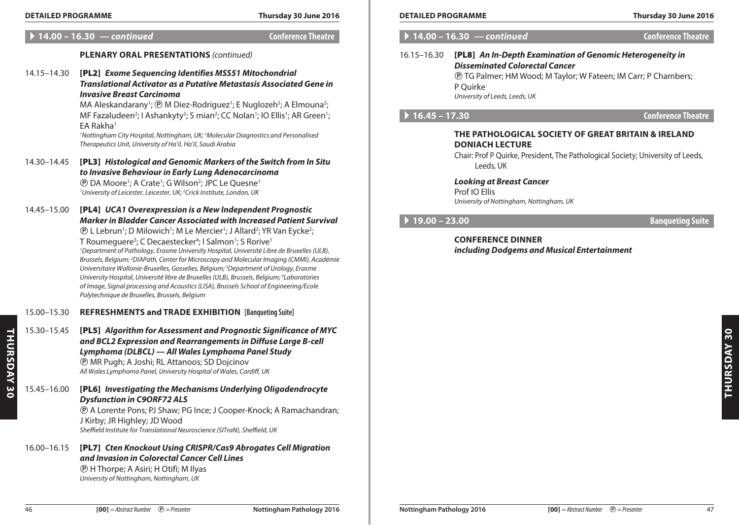A **14.00 – 16.30** *— continued* **Conference Theatre**

# **Plenary Oral Presentations** *(continued)*

|                    | 14.15-14.30 | [PL2] Exome Sequencing Identifies MSS51 Mitochondrial<br><b>Translational Activator as a Putative Metastasis Associated Gene in</b><br><b>Invasive Breast Carcinoma</b><br>MA Aleskandarany <sup>1</sup> ; @ M Diez-Rodriguez <sup>1</sup> ; E Nuglozeh <sup>2</sup> ; A Elmouna <sup>2</sup> ;<br>MF Fazaludeen <sup>2</sup> ; I Ashankyty <sup>2</sup> ; S mian <sup>2</sup> ; CC Nolan <sup>1</sup> ; IO Ellis <sup>1</sup> ; AR Green <sup>1</sup> ;<br>EA Rakha <sup>1</sup><br><sup>1</sup> Nottingham City Hospital, Nottingham, UK; <sup>2</sup> Molecular Diagnostics and Personalised<br>Therapeutics Unit, University of Ha'il, Ha'il, Saudi Arabia                                                                                                                                                                                                                                                                                                            |
|--------------------|-------------|---------------------------------------------------------------------------------------------------------------------------------------------------------------------------------------------------------------------------------------------------------------------------------------------------------------------------------------------------------------------------------------------------------------------------------------------------------------------------------------------------------------------------------------------------------------------------------------------------------------------------------------------------------------------------------------------------------------------------------------------------------------------------------------------------------------------------------------------------------------------------------------------------------------------------------------------------------------------------|
|                    | 14.30-14.45 | [PL3] Histological and Genomic Markers of the Switch from In Situ<br>to Invasive Behaviour in Early Lung Adenocarcinoma<br><b><i><b>@</b></i> DA Moore<sup>1</sup>; A Crate<sup>1</sup>; G Wilson<sup>2</sup>; JPC Le Quesne<sup>1</sup></b><br><sup>1</sup> University of Leicester, Leicester, UK; <sup>2</sup> Crick Institute, London, UK                                                                                                                                                                                                                                                                                                                                                                                                                                                                                                                                                                                                                             |
|                    | 14.45-15.00 | [PL4] UCA1 Overexpression is a New Independent Prognostic<br><b>Marker in Bladder Cancer Associated with Increased Patient Survival</b><br><b><i>@ L Lebrun<sup>1</sup>; D Milowich<sup>1</sup>; M Le Mercier<sup>1</sup>; J Allard<sup>2</sup>; YR Van Eycke<sup>2</sup>;</i></b><br>T Roumeguere <sup>3</sup> ; C Decaestecker <sup>4</sup> ; I Salmon <sup>1</sup> ; S Rorive <sup>1</sup><br><sup>1</sup> Department of Pathology, Erasme University Hospital, Université Libre de Bruxelles (ULB),<br>Brussels, Belgium; <sup>2</sup> DIAPath, Center for Microscopy and Molecular Imaging (CMMI), Académie<br>Universitaire Wallonie-Bruxelles, Gosselies, Belgium; <sup>3</sup> Department of Urology, Erasme<br>University Hospital, Université libre de Bruxelles (ULB), Brussels, Belgium; <sup>4</sup> Laboratories<br>of Image, Signal processing and Acoustics (LISA), Brussels School of Engineering/Ecole<br>Polytechnique de Bruxelles, Brussels, Belgium |
|                    | 15.00-15.30 | <b>REFRESHMENTS and TRADE EXHIBITION [Banqueting Suite]</b>                                                                                                                                                                                                                                                                                                                                                                                                                                                                                                                                                                                                                                                                                                                                                                                                                                                                                                               |
| <b>THURSDAY 30</b> | 15.30-15.45 | [PL5] Algorithm for Assessment and Prognostic Significance of MYC<br>and BCL2 Expression and Rearrangements in Diffuse Large B-cell<br>Lymphoma (DLBCL) - All Wales Lymphoma Panel Study<br><b><i>@ MR Pugh; A Joshi; RL Attanoos; SD Dojcinov</i></b><br>All Wales Lymphoma Panel, University Hospital of Wales, Cardiff, UK                                                                                                                                                                                                                                                                                                                                                                                                                                                                                                                                                                                                                                             |
|                    | 15.45-16.00 | [PL6] Investigating the Mechanisms Underlying Oligodendrocyte<br><b>Dysfunction in C9ORF72 ALS</b><br><b><i>®</i></b> A Lorente Pons; PJ Shaw; PG Ince; J Cooper-Knock; A Ramachandran;<br>J Kirby; JR Highley; JD Wood<br>Sheffield Institute for Translational Neuroscience (SITraN), Sheffield, UK                                                                                                                                                                                                                                                                                                                                                                                                                                                                                                                                                                                                                                                                     |
|                    | 16.00-16.15 | [PL7] Cten Knockout Using CRISPR/Cas9 Abrogates Cell Migration<br>and Invasion in Colorectal Cancer Cell Lines<br><b><i>®</i></b> H Thorpe; A Asiri; H Otifi; M Ilyas<br>University of Nottingham, Nottingham, UK                                                                                                                                                                                                                                                                                                                                                                                                                                                                                                                                                                                                                                                                                                                                                         |

# A **14.00 – 16.30** *— continued* **Conference Theatre**

# 16.15–16.30 [PL8] *An In-Depth Examination of Genomic Heterogeneity in Disseminated Colorectal Cancer* P TG Palmer; HM Wood; M Taylor; W Fateen; IM Carr; P Chambers; P Quirke

*University of Leeds, Leeds, UK*

# A **16.45 – 17.30 Conference Theatre**

# **The Pathological Society of Great Britain & Ireland DONIACH Lecture**

Chair: Prof P Quirke, President, The Pathological Society; University of Leeds, Leeds, UK

*Looking at Breast Cancer* Prof IO Ellis *University of Nottingham, Nottingham, UK*

# A **19.00 – 23.00 Banqueting Suite**

**Conference Dinner** *including Dodgems and Musical Entertainment*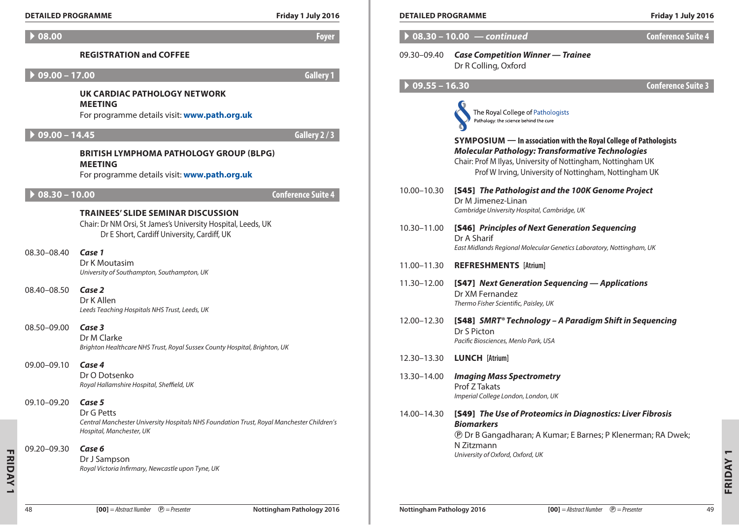| <b>DETAILED PROGRAMME</b>   |                                                                                                                                                           | Friday 1 July 2016 | <b>DETAILED PROGRAMME</b>      |                                                                                                                                                                                                                                                        | Friday 1 July 2016        |
|-----------------------------|-----------------------------------------------------------------------------------------------------------------------------------------------------------|--------------------|--------------------------------|--------------------------------------------------------------------------------------------------------------------------------------------------------------------------------------------------------------------------------------------------------|---------------------------|
| $\blacktriangleright$ 08.00 |                                                                                                                                                           | <b>Foyer</b>       |                                | $\triangleright$ 08.30 - 10.00 - continued                                                                                                                                                                                                             | <b>Conference Suite 4</b> |
|                             | <b>REGISTRATION and COFFEE</b>                                                                                                                            |                    | 09.30-09.40                    | <b>Case Competition Winner - Trainee</b><br>Dr R Colling, Oxford                                                                                                                                                                                       |                           |
| $09.00 - 17.00$             |                                                                                                                                                           | <b>Gallery 1</b>   |                                |                                                                                                                                                                                                                                                        |                           |
|                             | UK CARDIAC PATHOLOGY NETWORK<br><b>MEETING</b><br>For programme details visit: www.path.org.uk                                                            |                    | $\triangleright$ 09.55 - 16.30 | The Royal College of Pathologists<br>Pathology: the science behind the cure                                                                                                                                                                            | <b>Conference Suite 3</b> |
| $09.00 - 14.45$             | <b>BRITISH LYMPHOMA PATHOLOGY GROUP (BLPG)</b><br><b>MEETING</b><br>For programme details visit: www.path.org.uk                                          | Gallery 2/3        |                                | SYMPOSIUM — In association with the Royal College of Pathologists<br><b>Molecular Pathology: Transformative Technologies</b><br>Chair: Prof M Ilyas, University of Nottingham, Nottingham UK<br>Prof W Irving, University of Nottingham, Nottingham UK |                           |
| $08.30 - 10.00$             | <b>TRAINEES' SLIDE SEMINAR DISCUSSION</b>                                                                                                                 | Conference Suite 4 | 10.00-10.30                    | [S45] The Pathologist and the 100K Genome Project<br>Dr M Jimenez-Linan<br>Cambridge University Hospital, Cambridge, UK                                                                                                                                |                           |
| 08.30-08.40                 | Chair: Dr NM Orsi, St James's University Hospital, Leeds, UK<br>Dr E Short, Cardiff University, Cardiff, UK<br>Case 1                                     |                    | 10.30-11.00                    | [S46] Principles of Next Generation Sequencing<br>Dr A Sharif<br>East Midlands Regional Molecular Genetics Laboratory, Nottingham, UK                                                                                                                  |                           |
|                             | Dr K Moutasim<br>University of Southampton, Southampton, UK                                                                                               |                    | 11.00-11.30                    | <b>REFRESHMENTS [Atrium]</b>                                                                                                                                                                                                                           |                           |
| 08.40-08.50                 | Case 2<br>Dr K Allen<br>Leeds Teaching Hospitals NHS Trust, Leeds, UK                                                                                     |                    | 11.30-12.00                    | [S47] Next Generation Sequencing - Applications<br>Dr XM Fernandez<br>Thermo Fisher Scientific, Paisley, UK                                                                                                                                            |                           |
| 08.50-09.00                 | Case 3<br>Dr M Clarke<br>Brighton Healthcare NHS Trust, Royal Sussex County Hospital, Brighton, UK                                                        |                    | 12.00-12.30                    | [S48] SMRT® Technology - A Paradigm Shift in Sequencing<br>Dr S Picton<br>Pacific Biosciences, Menlo Park, USA                                                                                                                                         |                           |
| 09.00-09.10                 | Case 4                                                                                                                                                    |                    | 12.30-13.30                    | <b>LUNCH</b> [Atrium]                                                                                                                                                                                                                                  |                           |
|                             | Dr O Dotsenko<br>Royal Hallamshire Hospital, Sheffield, UK                                                                                                |                    | 13.30-14.00                    | <b>Imaging Mass Spectrometry</b><br>Prof Z Takats<br>Imperial College London, London, UK                                                                                                                                                               |                           |
|                             | 09.10-09.20 Case 5<br>Dr G Petts<br>Central Manchester University Hospitals NHS Foundation Trust, Royal Manchester Children's<br>Hospital, Manchester, UK |                    | 14.00–14.30                    | [S49] The Use of Proteomics in Diagnostics: Liver Fibrosis<br><b>Biomarkers</b><br><b><i>@</i></b> Dr B Gangadharan; A Kumar; E Barnes; P Klenerman; RA Dwek;                                                                                          |                           |
| 09.20-09.30                 | Case 6<br>Dr J Sampson<br>Royal Victoria Infirmary, Newcastle upon Tyne, UK                                                                               |                    |                                | N Zitzmann<br>University of Oxford, Oxford, UK                                                                                                                                                                                                         |                           |

| <b>DETAILED PROGRAMME</b>   |                                                                                                                                                                                                                                                               | Friday 1 July 2016        |  |
|-----------------------------|---------------------------------------------------------------------------------------------------------------------------------------------------------------------------------------------------------------------------------------------------------------|---------------------------|--|
| $08.30 - 10.00$ - continued | <b>Conference Suite 4</b>                                                                                                                                                                                                                                     |                           |  |
| 09.30–09.40                 | <b>Case Competition Winner - Trainee</b><br>Dr R Colling, Oxford                                                                                                                                                                                              |                           |  |
| $09.55 - 16.30$             |                                                                                                                                                                                                                                                               | <b>Conference Suite 3</b> |  |
|                             | The Royal College of Pathologists<br>Pathology: the science behind the cure                                                                                                                                                                                   |                           |  |
|                             | <b>SYMPOSIUM</b> — In association with the Royal College of Pathologists<br><b>Molecular Pathology: Transformative Technologies</b><br>Chair: Prof M Ilyas, University of Nottingham, Nottingham UK<br>Prof W Irving, University of Nottingham, Nottingham UK |                           |  |
| 10.00-10.30                 | [S45] The Pathologist and the 100K Genome Project<br>Dr M Jimenez-Linan<br>Cambridge University Hospital, Cambridge, UK                                                                                                                                       |                           |  |
| 10.30-11.00                 | [S46] Principles of Next Generation Sequencing<br>Dr A Sharif<br>East Midlands Regional Molecular Genetics Laboratory, Nottingham, UK                                                                                                                         |                           |  |
| 11.00-11.30                 | <b>REFRESHMENTS [Atrium]</b>                                                                                                                                                                                                                                  |                           |  |
| 11.30–12.00                 | [S47] Next Generation Sequencing - Applications<br>Dr XM Fernandez<br>Thermo Fisher Scientific, Paisley, UK                                                                                                                                                   |                           |  |
| 12.00-12.30                 | [S48] SMRT® Technology - A Paradigm Shift in Sequencing<br>Dr S Picton<br>Pacific Biosciences, Menlo Park, USA                                                                                                                                                |                           |  |
| 12.30–13.30                 | <b>LUNCH</b> [Atrium]                                                                                                                                                                                                                                         |                           |  |
| 13.30-14.00                 | <b>Imaging Mass Spectrometry</b><br>Prof Z Takats<br>Imperial College London, London, UK                                                                                                                                                                      |                           |  |
| 14.00-14.30                 | [S49] The Use of Proteomics in Diagnostics: Liver Fibrosis<br><b>Biomarkers</b><br><b><i>@</i></b> Dr B Gangadharan; A Kumar; E Barnes; P Klenerman; RA Dwek;<br>N Zitzmann<br>University of Oxford, Oxford, UK                                               |                           |  |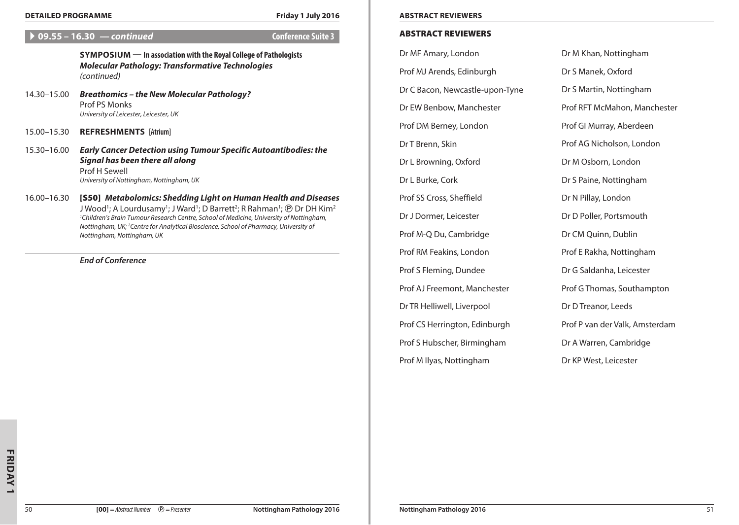#### **Detailed Programme Friday 1 July 2016 Abstract Reviewers**

# A **09.55 – 16.30** *— continued* **Conference Suite 3**

**Symposium — In association with the Royal College of Pathologists** *Molecular Pathology: Transformative Technologies (continued)*

- 14.30–15.00 *Breathomics the New Molecular Pathology?* Prof PS Monks *University of Leicester, Leicester, UK*
- 15.00–15.30 **REFRESHMENTS [Atrium]**

# 15.30–16.00 *Early Cancer Detection using Tumour Specific Autoantibodies: the Signal has been there all along* Prof H Sewell *University of Nottingham, Nottingham, UK*

16.00–16.30 [S50] *Metabolomics: Shedding Light on Human Health and Diseases* J Wood'; A Lourdusamy'; J Ward'; D Barrett<sup>2</sup>; R Rahman'; ℗ Dr DH Kim<sup>2</sup> *1 Children's Brain Tumour Research Centre, School of Medicine, University of Nottingham, Nottingham, UK; 2 Centre for Analytical Bioscience, School of Pharmacy, University of Nottingham, Nottingham, UK*

*End of Conference*

### Abstract Reviewers

Dr MF Amary, London

Prof MJ Arends, Edinburgh

Dr C Bacon, Newcastle-upon-Tyne

Dr EW Benbow, Manchester

Prof DM Berney, London

Dr T Brenn, Skin

Dr L Browning, Oxford

Dr L Burke, Cork

Prof SS Cross, Sheffield

Dr J Dormer, Leicester

Prof M-Q Du, Cambridge

Prof RM Feakins, London

Prof S Fleming, Dundee

Prof AJ Freemont, Manchester

Dr TR Helliwell, Liverpool

Prof CS Herrington, Edinburgh

Prof S Hubscher, Birmingham

Prof M Ilyas, Nottingham

Dr M Khan, Nottingham Dr S Manek, Oxford Dr S Martin, Nottingham Prof RFT McMahon, Manchester Prof GI Murray, Aberdeen Prof AG Nicholson, London Dr M Osborn, London Dr S Paine, Nottingham Dr N Pillay, London Dr D Poller, Portsmouth Dr CM Quinn, Dublin Prof E Rakha, Nottingham Dr G Saldanha, Leicester Prof G Thomas, Southampton Dr D Treanor, Leeds Prof P van der Valk, Amsterdam Dr A Warren, Cambridge Dr KP West, Leicester